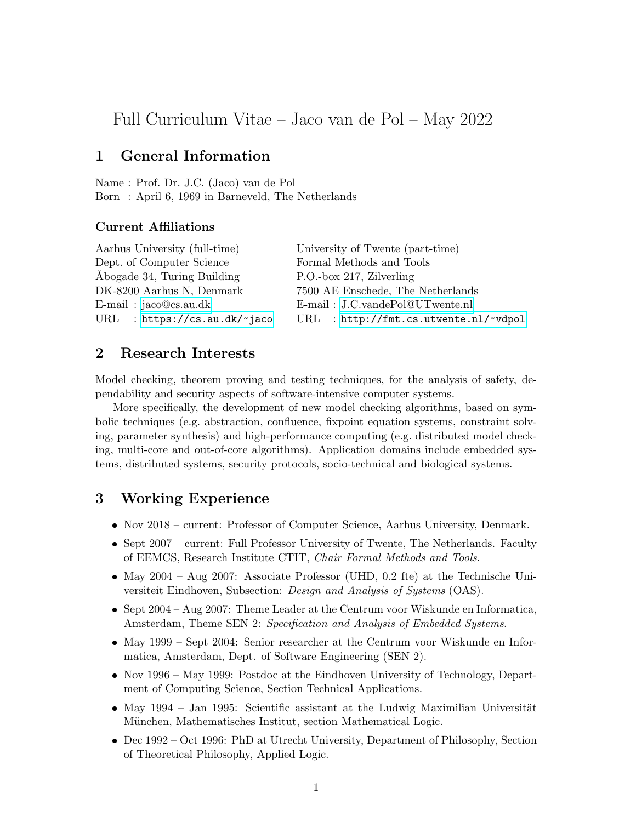# Full Curriculum Vitae – Jaco van de Pol – May 2022

## 1 General Information

Name : Prof. Dr. J.C. (Jaco) van de Pol Born : April 6, 1969 in Barneveld, The Netherlands

### Current Affiliations

| University of Twente (part-time)      |
|---------------------------------------|
| Formal Methods and Tools              |
| P.O.-box 217, Zilverling              |
| 7500 AE Enschede, The Netherlands     |
| E-mail: J.C.vandePol@UTwente.nl       |
| URL : http://fmt.cs.utwente.nl/~vdpol |
|                                       |

## 2 Research Interests

Model checking, theorem proving and testing techniques, for the analysis of safety, dependability and security aspects of software-intensive computer systems.

More specifically, the development of new model checking algorithms, based on symbolic techniques (e.g. abstraction, confluence, fixpoint equation systems, constraint solving, parameter synthesis) and high-performance computing (e.g. distributed model checking, multi-core and out-of-core algorithms). Application domains include embedded systems, distributed systems, security protocols, socio-technical and biological systems.

## 3 Working Experience

- Nov 2018 current: Professor of Computer Science, Aarhus University, Denmark.
- Sept 2007 current: Full Professor University of Twente, The Netherlands. Faculty of EEMCS, Research Institute CTIT, Chair Formal Methods and Tools.
- May 2004 Aug 2007: Associate Professor (UHD, 0.2 fte) at the Technische Universiteit Eindhoven, Subsection: Design and Analysis of Systems (OAS).
- Sept 2004 Aug 2007: Theme Leader at the Centrum voor Wiskunde en Informatica, Amsterdam, Theme SEN 2: Specification and Analysis of Embedded Systems.
- May 1999 Sept 2004: Senior researcher at the Centrum voor Wiskunde en Informatica, Amsterdam, Dept. of Software Engineering (SEN 2).
- Nov 1996 May 1999: Postdoc at the Eindhoven University of Technology, Department of Computing Science, Section Technical Applications.
- $\bullet$  May 1994 Jan 1995: Scientific assistant at the Ludwig Maximilian Universität München, Mathematisches Institut, section Mathematical Logic.
- Dec 1992 Oct 1996: PhD at Utrecht University, Department of Philosophy, Section of Theoretical Philosophy, Applied Logic.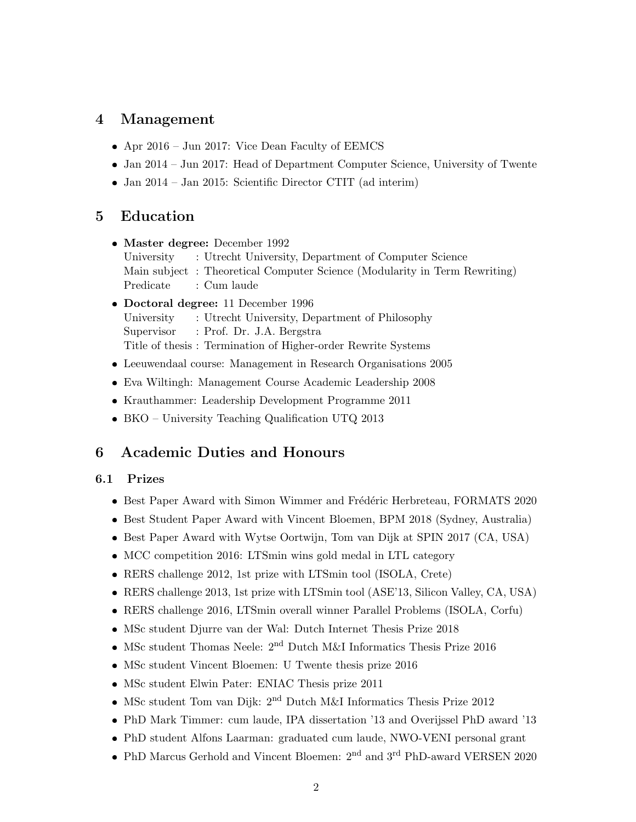## 4 Management

- Apr 2016 Jun 2017: Vice Dean Faculty of EEMCS
- Jan 2014 Jun 2017: Head of Department Computer Science, University of Twente
- Jan 2014 Jan 2015: Scientific Director CTIT (ad interim)

## 5 Education

- Master degree: December 1992 University : Utrecht University, Department of Computer Science Main subject : Theoretical Computer Science (Modularity in Term Rewriting) Predicate : Cum laude
- Doctoral degree: 11 December 1996 University : Utrecht University, Department of Philosophy Supervisor : Prof. Dr. J.A. Bergstra Title of thesis : Termination of Higher-order Rewrite Systems
- Leeuwendaal course: Management in Research Organisations 2005
- Eva Wiltingh: Management Course Academic Leadership 2008
- Krauthammer: Leadership Development Programme 2011
- BKO University Teaching Qualification UTQ 2013

## 6 Academic Duties and Honours

### 6.1 Prizes

- Best Paper Award with Simon Wimmer and Frédéric Herbreteau, FORMATS 2020
- Best Student Paper Award with Vincent Bloemen, BPM 2018 (Sydney, Australia)
- Best Paper Award with Wytse Oortwijn, Tom van Dijk at SPIN 2017 (CA, USA)
- MCC competition 2016: LTSmin wins gold medal in LTL category
- RERS challenge 2012, 1st prize with LTSmin tool (ISOLA, Crete)
- RERS challenge 2013, 1st prize with LTSmin tool (ASE'13, Silicon Valley, CA, USA)
- RERS challenge 2016, LTSmin overall winner Parallel Problems (ISOLA, Corfu)
- MSc student Djurre van der Wal: Dutch Internet Thesis Prize 2018
- MSc student Thomas Neele:  $2<sup>nd</sup>$  Dutch M&I Informatics Thesis Prize 2016
- MSc student Vincent Bloemen: U Twente thesis prize 2016
- MSc student Elwin Pater: ENIAC Thesis prize 2011
- MSc student Tom van Dijk:  $2<sup>nd</sup>$  Dutch M&I Informatics Thesis Prize 2012
- PhD Mark Timmer: cum laude, IPA dissertation '13 and Overijssel PhD award '13
- PhD student Alfons Laarman: graduated cum laude, NWO-VENI personal grant
- PhD Marcus Gerhold and Vincent Bloemen: 2<sup>nd</sup> and 3<sup>rd</sup> PhD-award VERSEN 2020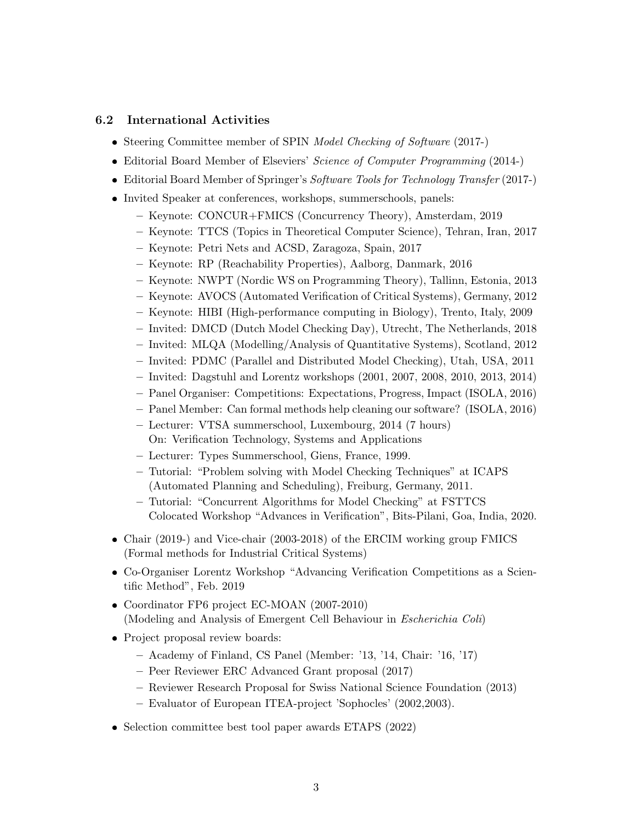### 6.2 International Activities

- Steering Committee member of SPIN Model Checking of Software (2017-)
- Editorial Board Member of Elseviers' Science of Computer Programming (2014-)
- Editorial Board Member of Springer's Software Tools for Technology Transfer (2017-)
- Invited Speaker at conferences, workshops, summerschools, panels:
	- Keynote: CONCUR+FMICS (Concurrency Theory), Amsterdam, 2019
	- Keynote: TTCS (Topics in Theoretical Computer Science), Tehran, Iran, 2017
	- Keynote: Petri Nets and ACSD, Zaragoza, Spain, 2017
	- Keynote: RP (Reachability Properties), Aalborg, Danmark, 2016
	- Keynote: NWPT (Nordic WS on Programming Theory), Tallinn, Estonia, 2013
	- Keynote: AVOCS (Automated Verification of Critical Systems), Germany, 2012
	- Keynote: HIBI (High-performance computing in Biology), Trento, Italy, 2009
	- Invited: DMCD (Dutch Model Checking Day), Utrecht, The Netherlands, 2018
	- Invited: MLQA (Modelling/Analysis of Quantitative Systems), Scotland, 2012
	- Invited: PDMC (Parallel and Distributed Model Checking), Utah, USA, 2011
	- Invited: Dagstuhl and Lorentz workshops (2001, 2007, 2008, 2010, 2013, 2014)
	- Panel Organiser: Competitions: Expectations, Progress, Impact (ISOLA, 2016)
	- Panel Member: Can formal methods help cleaning our software? (ISOLA, 2016)
	- Lecturer: VTSA summerschool, Luxembourg, 2014 (7 hours) On: Verification Technology, Systems and Applications
	- Lecturer: Types Summerschool, Giens, France, 1999.
	- Tutorial: "Problem solving with Model Checking Techniques" at ICAPS (Automated Planning and Scheduling), Freiburg, Germany, 2011.
	- Tutorial: "Concurrent Algorithms for Model Checking" at FSTTCS Colocated Workshop "Advances in Verification", Bits-Pilani, Goa, India, 2020.
- Chair (2019-) and Vice-chair (2003-2018) of the ERCIM working group FMICS (Formal methods for Industrial Critical Systems)
- Co-Organiser Lorentz Workshop "Advancing Verification Competitions as a Scientific Method", Feb. 2019
- Coordinator FP6 project EC-MOAN (2007-2010) (Modeling and Analysis of Emergent Cell Behaviour in Escherichia Coli)
- Project proposal review boards:
	- Academy of Finland, CS Panel (Member: '13, '14, Chair: '16, '17)
	- Peer Reviewer ERC Advanced Grant proposal (2017)
	- Reviewer Research Proposal for Swiss National Science Foundation (2013)
	- Evaluator of European ITEA-project 'Sophocles' (2002,2003).
- Selection committee best tool paper awards ETAPS (2022)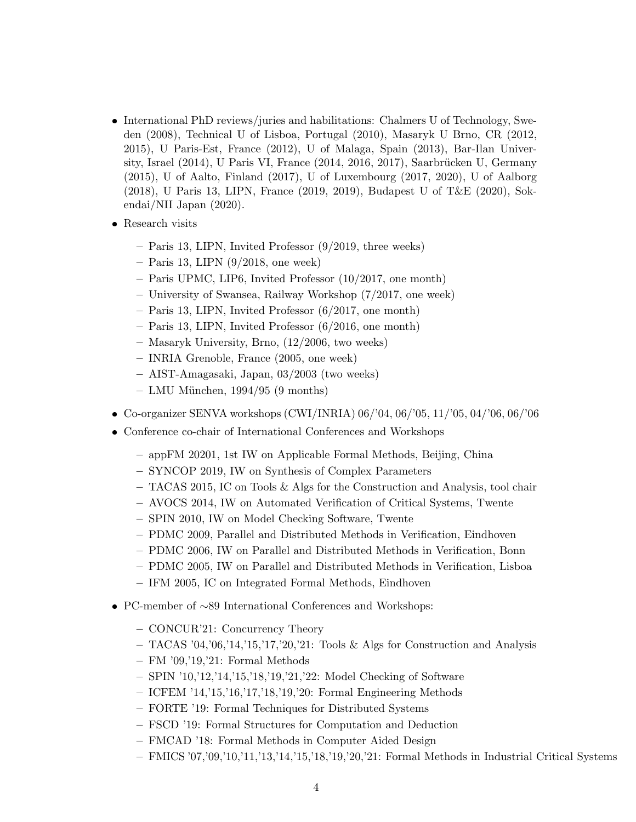- International PhD reviews/juries and habilitations: Chalmers U of Technology, Sweden (2008), Technical U of Lisboa, Portugal (2010), Masaryk U Brno, CR (2012, 2015), U Paris-Est, France (2012), U of Malaga, Spain (2013), Bar-Ilan University, Israel  $(2014)$ , U Paris VI, France  $(2014, 2016, 2017)$ , Saarbrücken U, Germany (2015), U of Aalto, Finland (2017), U of Luxembourg (2017, 2020), U of Aalborg (2018), U Paris 13, LIPN, France (2019, 2019), Budapest U of T&E (2020), Sokendai/NII Japan (2020).
- Research visits
	- Paris 13, LIPN, Invited Professor (9/2019, three weeks)
	- $-$  Paris 13, LIPN  $(9/2018,$  one week)
	- Paris UPMC, LIP6, Invited Professor (10/2017, one month)
	- University of Swansea, Railway Workshop (7/2017, one week)
	- Paris 13, LIPN, Invited Professor (6/2017, one month)
	- Paris 13, LIPN, Invited Professor (6/2016, one month)
	- Masaryk University, Brno, (12/2006, two weeks)
	- INRIA Grenoble, France (2005, one week)
	- AIST-Amagasaki, Japan, 03/2003 (two weeks)
	- $-$  LMU München, 1994/95 (9 months)
- Co-organizer SENVA workshops (CWI/INRIA) 06/'04, 06/'05, 11/'05, 04/'06, 06/'06
- Conference co-chair of International Conferences and Workshops
	- appFM 20201, 1st IW on Applicable Formal Methods, Beijing, China
	- SYNCOP 2019, IW on Synthesis of Complex Parameters
	- TACAS 2015, IC on Tools & Algs for the Construction and Analysis, tool chair
	- AVOCS 2014, IW on Automated Verification of Critical Systems, Twente
	- SPIN 2010, IW on Model Checking Software, Twente
	- PDMC 2009, Parallel and Distributed Methods in Verification, Eindhoven
	- PDMC 2006, IW on Parallel and Distributed Methods in Verification, Bonn
	- PDMC 2005, IW on Parallel and Distributed Methods in Verification, Lisboa
	- IFM 2005, IC on Integrated Formal Methods, Eindhoven
- PC-member of ∼89 International Conferences and Workshops:
	- CONCUR'21: Concurrency Theory
	- TACAS '04,'06,'14,'15,'17,'20,'21: Tools & Algs for Construction and Analysis
	- FM '09,'19,'21: Formal Methods
	- SPIN '10,'12,'14,'15,'18,'19,'21,'22: Model Checking of Software
	- ICFEM '14,'15,'16,'17,'18,'19,'20: Formal Engineering Methods
	- FORTE '19: Formal Techniques for Distributed Systems
	- FSCD '19: Formal Structures for Computation and Deduction
	- FMCAD '18: Formal Methods in Computer Aided Design
	- FMICS '07,'09,'10,'11,'13,'14,'15,'18,'19,'20,'21: Formal Methods in Industrial Critical Systems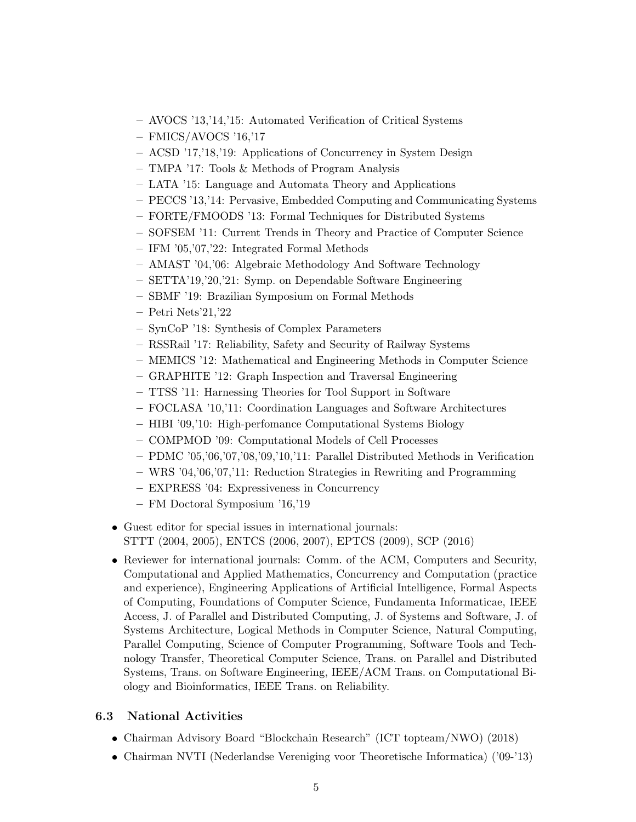- AVOCS '13,'14,'15: Automated Verification of Critical Systems
- FMICS/AVOCS '16,'17
- ACSD '17,'18,'19: Applications of Concurrency in System Design
- TMPA '17: Tools & Methods of Program Analysis
- LATA '15: Language and Automata Theory and Applications
- PECCS '13,'14: Pervasive, Embedded Computing and Communicating Systems
- FORTE/FMOODS '13: Formal Techniques for Distributed Systems
- SOFSEM '11: Current Trends in Theory and Practice of Computer Science
- IFM '05,'07,'22: Integrated Formal Methods
- AMAST '04,'06: Algebraic Methodology And Software Technology
- SETTA'19,'20,'21: Symp. on Dependable Software Engineering
- SBMF '19: Brazilian Symposium on Formal Methods
- Petri Nets'21,'22
- SynCoP '18: Synthesis of Complex Parameters
- RSSRail '17: Reliability, Safety and Security of Railway Systems
- MEMICS '12: Mathematical and Engineering Methods in Computer Science
- GRAPHITE '12: Graph Inspection and Traversal Engineering
- TTSS '11: Harnessing Theories for Tool Support in Software
- FOCLASA '10,'11: Coordination Languages and Software Architectures
- HIBI '09,'10: High-perfomance Computational Systems Biology
- COMPMOD '09: Computational Models of Cell Processes
- PDMC '05,'06,'07,'08,'09,'10,'11: Parallel Distributed Methods in Verification
- WRS '04,'06,'07,'11: Reduction Strategies in Rewriting and Programming
- EXPRESS '04: Expressiveness in Concurrency
- FM Doctoral Symposium '16,'19
- Guest editor for special issues in international journals: STTT (2004, 2005), ENTCS (2006, 2007), EPTCS (2009), SCP (2016)
- Reviewer for international journals: Comm. of the ACM, Computers and Security, Computational and Applied Mathematics, Concurrency and Computation (practice and experience), Engineering Applications of Artificial Intelligence, Formal Aspects of Computing, Foundations of Computer Science, Fundamenta Informaticae, IEEE Access, J. of Parallel and Distributed Computing, J. of Systems and Software, J. of Systems Architecture, Logical Methods in Computer Science, Natural Computing, Parallel Computing, Science of Computer Programming, Software Tools and Technology Transfer, Theoretical Computer Science, Trans. on Parallel and Distributed Systems, Trans. on Software Engineering, IEEE/ACM Trans. on Computational Biology and Bioinformatics, IEEE Trans. on Reliability.

## 6.3 National Activities

- Chairman Advisory Board "Blockchain Research" (ICT topteam/NWO) (2018)
- Chairman NVTI (Nederlandse Vereniging voor Theoretische Informatica) ('09-'13)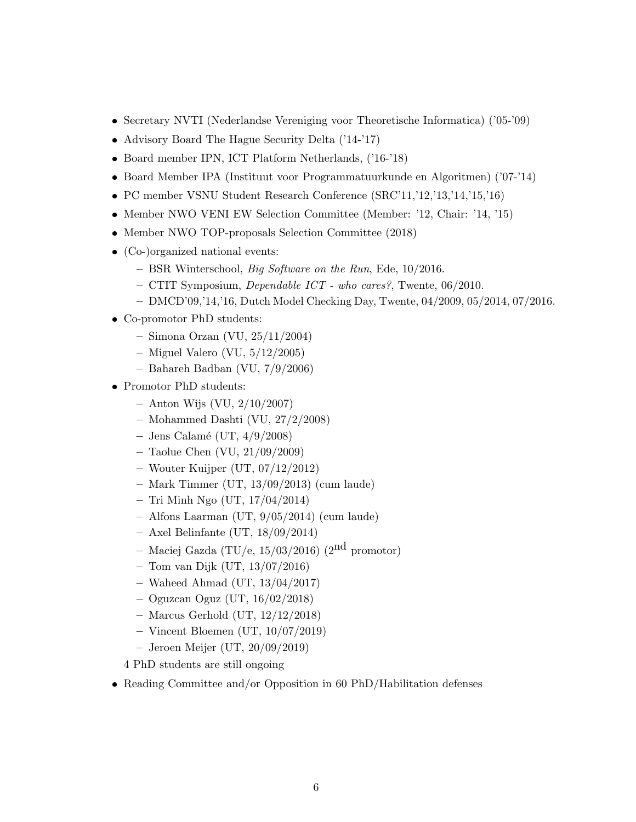- Secretary NVTI (Nederlandse Vereniging voor Theoretische Informatica) ('05-'09)
- Advisory Board The Hague Security Delta ('14-'17)
- Board member IPN, ICT Platform Netherlands, ('16-'18)
- Board Member IPA (Instituut voor Programmatuurkunde en Algoritmen) ('07-'14)
- PC member VSNU Student Research Conference (SRC'11,'12,'13,'14,'15,'16)
- Member NWO VENI EW Selection Committee (Member: '12, Chair: '14, '15)
- Member NWO TOP-proposals Selection Committee (2018)
- (Co-)organized national events:
	- BSR Winterschool, Big Software on the Run, Ede, 10/2016.
	- CTIT Symposium, Dependable ICT who cares?, Twente, 06/2010.
	- DMCD'09,'14,'16, Dutch Model Checking Day, Twente, 04/2009, 05/2014, 07/2016.
- Co-promotor PhD students:
	- Simona Orzan (VU, 25/11/2004)
	- Miguel Valero (VU, 5/12/2005)
	- Bahareh Badban (VU, 7/9/2006)
- Promotor PhD students:
	- $-$  Anton Wijs (VU,  $2/10/2007$ )
	- Mohammed Dashti (VU, 27/2/2008)
	- Jens Calamé (UT,  $4/9/2008$ )
	- Taolue Chen (VU, 21/09/2009)
	- Wouter Kuijper (UT, 07/12/2012)
	- Mark Timmer (UT, 13/09/2013) (cum laude)
	- Tri Minh Ngo (UT, 17/04/2014)
	- Alfons Laarman (UT, 9/05/2014) (cum laude)
	- $-$  Axel Belinfante (UT,  $18/09/2014$ )
	- Maciej Gazda (TU/e,  $15/03/2016$ ) (2<sup>nd</sup> promotor)
	- Tom van Dijk (UT, 13/07/2016)
	- Waheed Ahmad (UT, 13/04/2017)
	- Oguzcan Oguz (UT, 16/02/2018)
	- Marcus Gerhold (UT, 12/12/2018)
	- Vincent Bloemen (UT, 10/07/2019)
	- Jeroen Meijer (UT, 20/09/2019)
	- 4 PhD students are still ongoing
- Reading Committee and/or Opposition in 60 PhD/Habilitation defenses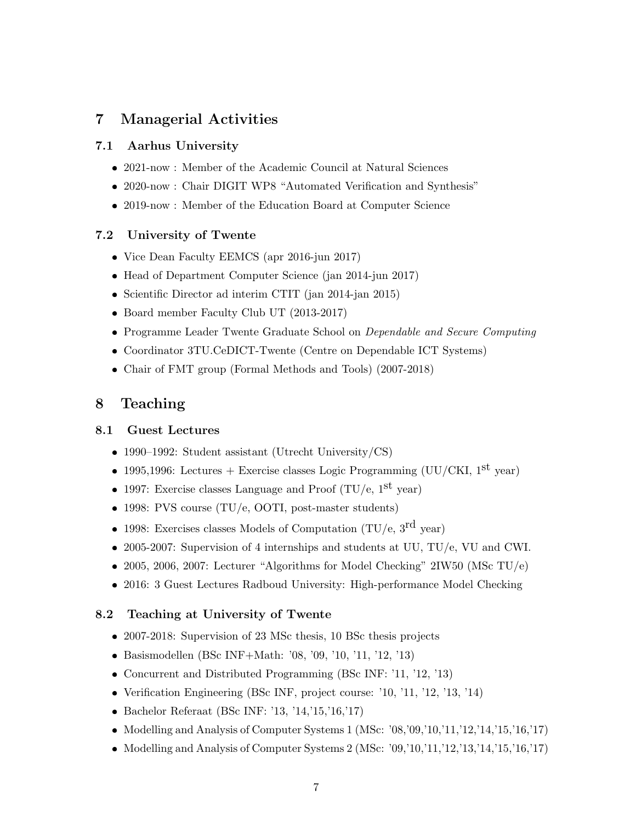## 7 Managerial Activities

## 7.1 Aarhus University

- 2021-now : Member of the Academic Council at Natural Sciences
- 2020-now : Chair DIGIT WP8 "Automated Verification and Synthesis"
- 2019-now : Member of the Education Board at Computer Science

### 7.2 University of Twente

- Vice Dean Faculty EEMCS (apr 2016-jun 2017)
- Head of Department Computer Science (jan 2014-jun 2017)
- Scientific Director ad interim CTIT (jan 2014-jan 2015)
- Board member Faculty Club UT (2013-2017)
- Programme Leader Twente Graduate School on *Dependable and Secure Computing*
- Coordinator 3TU.CeDICT-Twente (Centre on Dependable ICT Systems)
- Chair of FMT group (Formal Methods and Tools) (2007-2018)

## 8 Teaching

### 8.1 Guest Lectures

- 1990–1992: Student assistant (Utrecht University/CS)
- 1995,1996: Lectures + Exercise classes Logic Programming (UU/CKI,  $1^{st}$  year)
- 1997: Exercise classes Language and Proof  $(TU/e, 1<sup>st</sup>$  year)
- 1998: PVS course (TU/e, OOTI, post-master students)
- 1998: Exercises classes Models of Computation (TU/e,  $3^{\text{rd}}$  year)
- 2005-2007: Supervision of 4 internships and students at UU, TU/e, VU and CWI.
- 2005, 2006, 2007: Lecturer "Algorithms for Model Checking" 2IW50 (MSc TU/e)
- 2016: 3 Guest Lectures Radboud University: High-performance Model Checking

### 8.2 Teaching at University of Twente

- 2007-2018: Supervision of 23 MSc thesis, 10 BSc thesis projects
- Basismodellen (BSc INF+Math: '08, '09, '10, '11, '12, '13)
- Concurrent and Distributed Programming (BSc INF: '11, '12, '13)
- Verification Engineering (BSc INF, project course: '10, '11, '12, '13, '14)
- Bachelor Referaat (BSc INF: '13, '14,'15,'16,'17)
- $\bullet$  Modelling and Analysis of Computer Systems 1 (MSc: '08,'09,'10,'11,'12,'14,'15,'16,'17)
- $\bullet$  Modelling and Analysis of Computer Systems 2 (MSc: '09,'10,'11,'12,'13,'14,'15,'16,'17)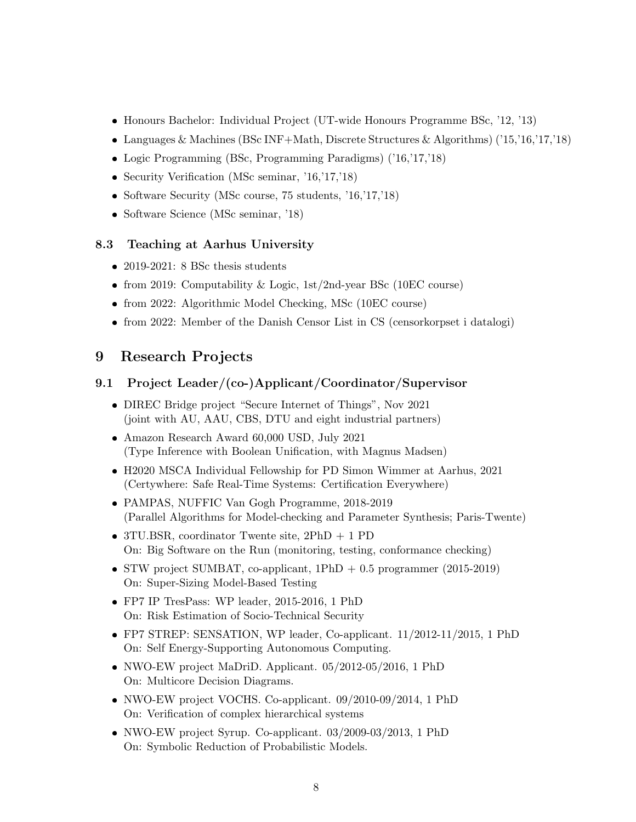- Honours Bachelor: Individual Project (UT-wide Honours Programme BSc, '12, '13)
- Languages & Machines (BSc INF+Math, Discrete Structures & Algorithms) ('15,'16,'17,'18)
- Logic Programming (BSc, Programming Paradigms) ('16,'17,'18)
- Security Verification (MSc seminar, '16,'17,'18)
- Software Security (MSc course, 75 students, '16,'17,'18)
- Software Science (MSc seminar, '18)

### 8.3 Teaching at Aarhus University

- 2019-2021: 8 BSc thesis students
- from 2019: Computability & Logic, 1st/2nd-year BSc (10EC course)
- from 2022: Algorithmic Model Checking, MSc (10EC course)
- from 2022: Member of the Danish Censor List in CS (censorkorpset i datalogi)

## 9 Research Projects

## 9.1 Project Leader/(co-)Applicant/Coordinator/Supervisor

- DIREC Bridge project "Secure Internet of Things", Nov 2021 (joint with AU, AAU, CBS, DTU and eight industrial partners)
- Amazon Research Award 60,000 USD, July 2021 (Type Inference with Boolean Unification, with Magnus Madsen)
- H2020 MSCA Individual Fellowship for PD Simon Wimmer at Aarhus, 2021 (Certywhere: Safe Real-Time Systems: Certification Everywhere)
- PAMPAS, NUFFIC Van Gogh Programme, 2018-2019 (Parallel Algorithms for Model-checking and Parameter Synthesis; Paris-Twente)
- 3TU.BSR, coordinator Twente site, 2PhD + 1 PD On: Big Software on the Run (monitoring, testing, conformance checking)
- $\bullet$  STW project SUMBAT, co-applicant, 1PhD  $+$  0.5 programmer (2015-2019) On: Super-Sizing Model-Based Testing
- FP7 IP TresPass: WP leader, 2015-2016, 1 PhD On: Risk Estimation of Socio-Technical Security
- FP7 STREP: SENSATION, WP leader, Co-applicant. 11/2012-11/2015, 1 PhD On: Self Energy-Supporting Autonomous Computing.
- NWO-EW project MaDriD. Applicant. 05/2012-05/2016, 1 PhD On: Multicore Decision Diagrams.
- NWO-EW project VOCHS. Co-applicant. 09/2010-09/2014, 1 PhD On: Verification of complex hierarchical systems
- NWO-EW project Syrup. Co-applicant. 03/2009-03/2013, 1 PhD On: Symbolic Reduction of Probabilistic Models.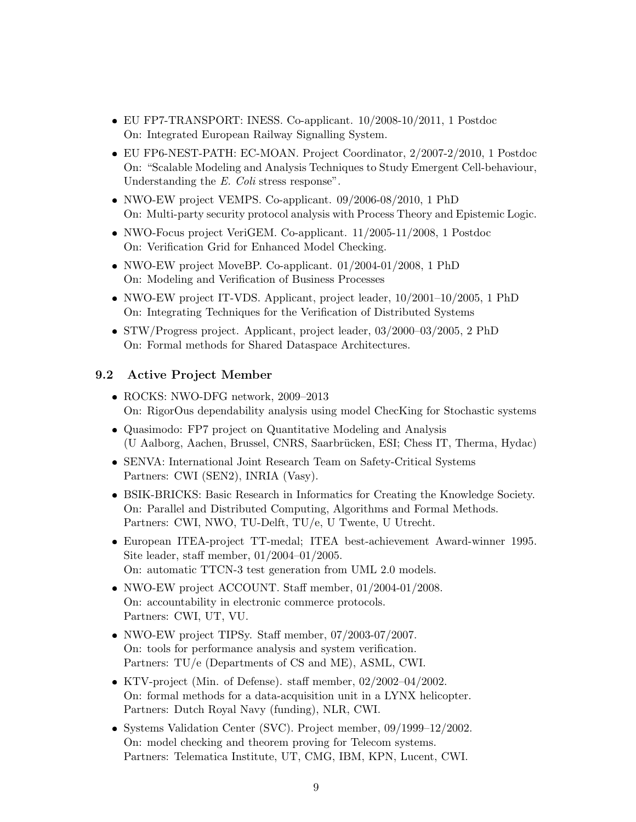- EU FP7-TRANSPORT: INESS. Co-applicant. 10/2008-10/2011, 1 Postdoc On: Integrated European Railway Signalling System.
- EU FP6-NEST-PATH: EC-MOAN. Project Coordinator, 2/2007-2/2010, 1 Postdoc On: "Scalable Modeling and Analysis Techniques to Study Emergent Cell-behaviour, Understanding the E. Coli stress response".
- NWO-EW project VEMPS. Co-applicant. 09/2006-08/2010, 1 PhD On: Multi-party security protocol analysis with Process Theory and Epistemic Logic.
- NWO-Focus project VeriGEM. Co-applicant. 11/2005-11/2008, 1 Postdoc On: Verification Grid for Enhanced Model Checking.
- NWO-EW project MoveBP. Co-applicant. 01/2004-01/2008, 1 PhD On: Modeling and Verification of Business Processes
- NWO-EW project IT-VDS. Applicant, project leader, 10/2001–10/2005, 1 PhD On: Integrating Techniques for the Verification of Distributed Systems
- STW/Progress project. Applicant, project leader, 03/2000–03/2005, 2 PhD On: Formal methods for Shared Dataspace Architectures.

## 9.2 Active Project Member

- ROCKS: NWO-DFG network, 2009–2013 On: RigorOus dependability analysis using model ChecKing for Stochastic systems
- Quasimodo: FP7 project on Quantitative Modeling and Analysis (U Aalborg, Aachen, Brussel, CNRS, Saarbr¨ucken, ESI; Chess IT, Therma, Hydac)
- SENVA: International Joint Research Team on Safety-Critical Systems Partners: CWI (SEN2), INRIA (Vasy).
- BSIK-BRICKS: Basic Research in Informatics for Creating the Knowledge Society. On: Parallel and Distributed Computing, Algorithms and Formal Methods. Partners: CWI, NWO, TU-Delft, TU/e, U Twente, U Utrecht.
- European ITEA-project TT-medal; ITEA best-achievement Award-winner 1995. Site leader, staff member, 01/2004–01/2005. On: automatic TTCN-3 test generation from UML 2.0 models.
- NWO-EW project ACCOUNT. Staff member, 01/2004-01/2008. On: accountability in electronic commerce protocols. Partners: CWI, UT, VU.
- NWO-EW project TIPSy. Staff member, 07/2003-07/2007. On: tools for performance analysis and system verification. Partners: TU/e (Departments of CS and ME), ASML, CWI.
- KTV-project (Min. of Defense). staff member, 02/2002–04/2002. On: formal methods for a data-acquisition unit in a LYNX helicopter. Partners: Dutch Royal Navy (funding), NLR, CWI.
- Systems Validation Center (SVC). Project member, 09/1999–12/2002. On: model checking and theorem proving for Telecom systems. Partners: Telematica Institute, UT, CMG, IBM, KPN, Lucent, CWI.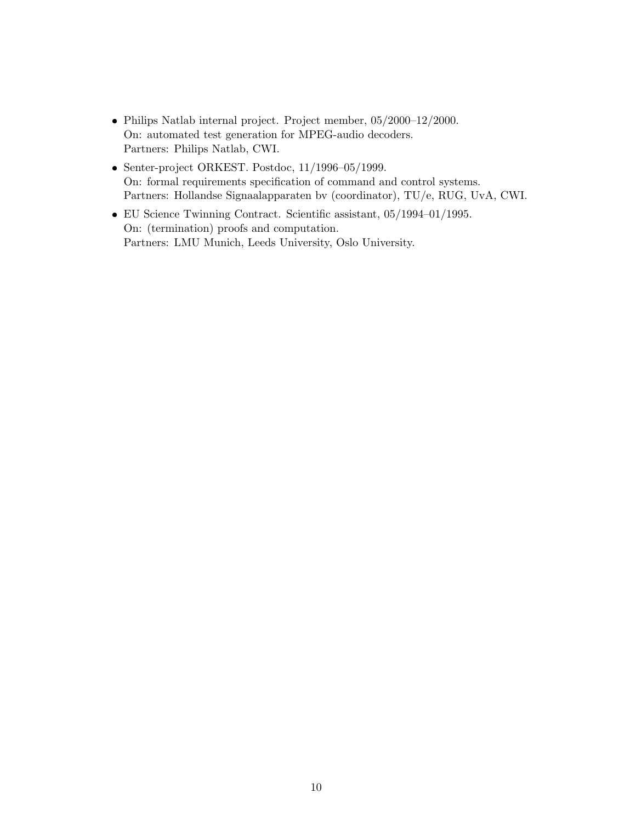- Philips Natlab internal project. Project member, 05/2000–12/2000. On: automated test generation for MPEG-audio decoders. Partners: Philips Natlab, CWI.
- Senter-project ORKEST. Postdoc, 11/1996–05/1999. On: formal requirements specification of command and control systems. Partners: Hollandse Signaalapparaten bv (coordinator), TU/e, RUG, UvA, CWI.
- EU Science Twinning Contract. Scientific assistant, 05/1994–01/1995. On: (termination) proofs and computation. Partners: LMU Munich, Leeds University, Oslo University.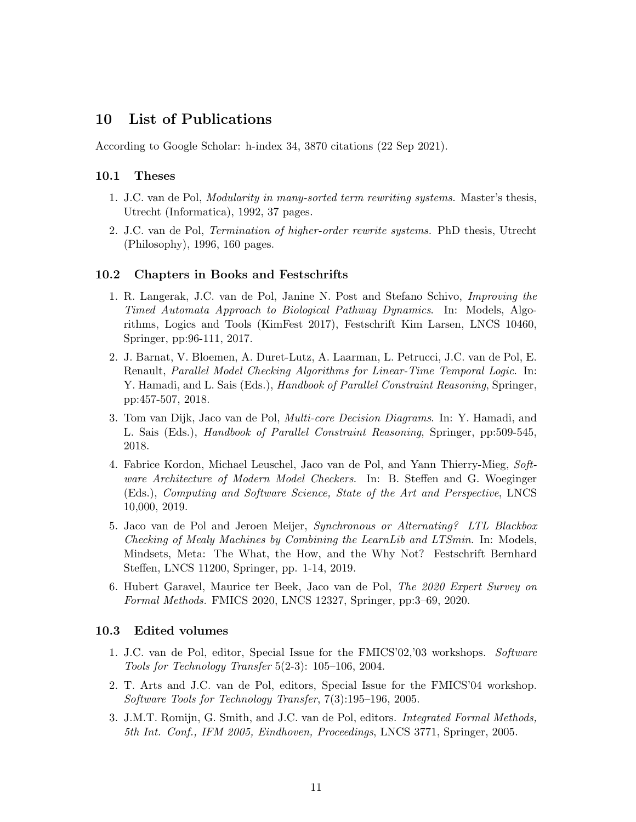## 10 List of Publications

According to Google Scholar: h-index 34, 3870 citations (22 Sep 2021).

#### 10.1 Theses

- 1. J.C. van de Pol, Modularity in many-sorted term rewriting systems. Master's thesis, Utrecht (Informatica), 1992, 37 pages.
- 2. J.C. van de Pol, Termination of higher-order rewrite systems. PhD thesis, Utrecht (Philosophy), 1996, 160 pages.

#### 10.2 Chapters in Books and Festschrifts

- 1. R. Langerak, J.C. van de Pol, Janine N. Post and Stefano Schivo, Improving the Timed Automata Approach to Biological Pathway Dynamics. In: Models, Algorithms, Logics and Tools (KimFest 2017), Festschrift Kim Larsen, LNCS 10460, Springer, pp:96-111, 2017.
- 2. J. Barnat, V. Bloemen, A. Duret-Lutz, A. Laarman, L. Petrucci, J.C. van de Pol, E. Renault, Parallel Model Checking Algorithms for Linear-Time Temporal Logic. In: Y. Hamadi, and L. Sais (Eds.), *Handbook of Parallel Constraint Reasoning*, Springer, pp:457-507, 2018.
- 3. Tom van Dijk, Jaco van de Pol, Multi-core Decision Diagrams. In: Y. Hamadi, and L. Sais (Eds.), Handbook of Parallel Constraint Reasoning, Springer, pp:509-545, 2018.
- 4. Fabrice Kordon, Michael Leuschel, Jaco van de Pol, and Yann Thierry-Mieg, Software Architecture of Modern Model Checkers. In: B. Steffen and G. Woeginger (Eds.), Computing and Software Science, State of the Art and Perspective, LNCS 10,000, 2019.
- 5. Jaco van de Pol and Jeroen Meijer, Synchronous or Alternating? LTL Blackbox Checking of Mealy Machines by Combining the LearnLib and LTSmin. In: Models, Mindsets, Meta: The What, the How, and the Why Not? Festschrift Bernhard Steffen, LNCS 11200, Springer, pp. 1-14, 2019.
- 6. Hubert Garavel, Maurice ter Beek, Jaco van de Pol, The 2020 Expert Survey on Formal Methods. FMICS 2020, LNCS 12327, Springer, pp:3–69, 2020.

#### 10.3 Edited volumes

- 1. J.C. van de Pol, editor, Special Issue for the FMICS'02,'03 workshops. Software Tools for Technology Transfer 5(2-3): 105–106, 2004.
- 2. T. Arts and J.C. van de Pol, editors, Special Issue for the FMICS'04 workshop. Software Tools for Technology Transfer, 7(3):195–196, 2005.
- 3. J.M.T. Romijn, G. Smith, and J.C. van de Pol, editors. Integrated Formal Methods, 5th Int. Conf., IFM 2005, Eindhoven, Proceedings, LNCS 3771, Springer, 2005.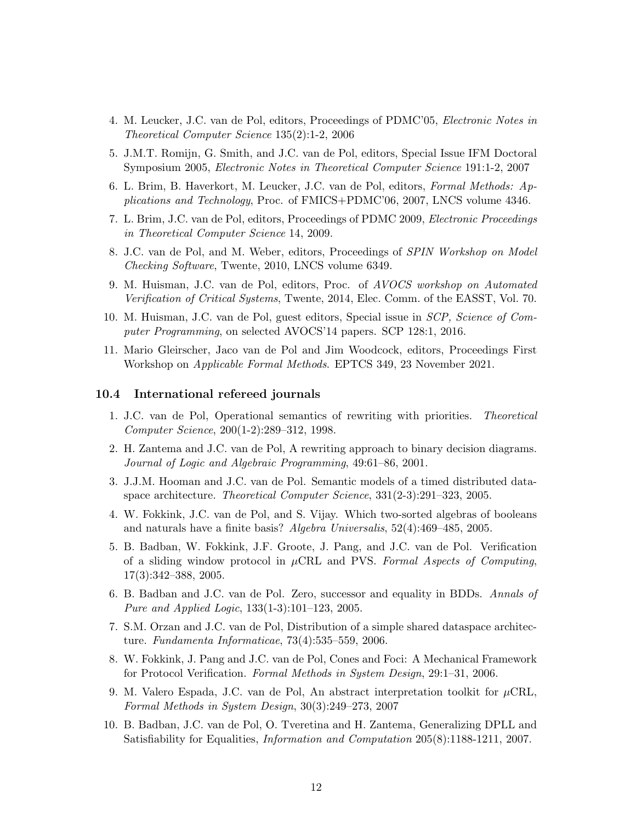- 4. M. Leucker, J.C. van de Pol, editors, Proceedings of PDMC'05, Electronic Notes in Theoretical Computer Science 135(2):1-2, 2006
- 5. J.M.T. Romijn, G. Smith, and J.C. van de Pol, editors, Special Issue IFM Doctoral Symposium 2005, Electronic Notes in Theoretical Computer Science 191:1-2, 2007
- 6. L. Brim, B. Haverkort, M. Leucker, J.C. van de Pol, editors, Formal Methods: Applications and Technology, Proc. of FMICS+PDMC'06, 2007, LNCS volume 4346.
- 7. L. Brim, J.C. van de Pol, editors, Proceedings of PDMC 2009, Electronic Proceedings in Theoretical Computer Science 14, 2009.
- 8. J.C. van de Pol, and M. Weber, editors, Proceedings of SPIN Workshop on Model Checking Software, Twente, 2010, LNCS volume 6349.
- 9. M. Huisman, J.C. van de Pol, editors, Proc. of AVOCS workshop on Automated Verification of Critical Systems, Twente, 2014, Elec. Comm. of the EASST, Vol. 70.
- 10. M. Huisman, J.C. van de Pol, guest editors, Special issue in SCP, Science of Computer Programming, on selected AVOCS'14 papers. SCP 128:1, 2016.
- 11. Mario Gleirscher, Jaco van de Pol and Jim Woodcock, editors, Proceedings First Workshop on Applicable Formal Methods. EPTCS 349, 23 November 2021.

#### 10.4 International refereed journals

- 1. J.C. van de Pol, Operational semantics of rewriting with priorities. Theoretical Computer Science, 200(1-2):289–312, 1998.
- 2. H. Zantema and J.C. van de Pol, A rewriting approach to binary decision diagrams. Journal of Logic and Algebraic Programming, 49:61–86, 2001.
- 3. J.J.M. Hooman and J.C. van de Pol. Semantic models of a timed distributed dataspace architecture. Theoretical Computer Science, 331(2-3):291–323, 2005.
- 4. W. Fokkink, J.C. van de Pol, and S. Vijay. Which two-sorted algebras of booleans and naturals have a finite basis? Algebra Universalis, 52(4):469–485, 2005.
- 5. B. Badban, W. Fokkink, J.F. Groote, J. Pang, and J.C. van de Pol. Verification of a sliding window protocol in  $\mu$ CRL and PVS. Formal Aspects of Computing, 17(3):342–388, 2005.
- 6. B. Badban and J.C. van de Pol. Zero, successor and equality in BDDs. Annals of Pure and Applied Logic, 133(1-3):101–123, 2005.
- 7. S.M. Orzan and J.C. van de Pol, Distribution of a simple shared dataspace architecture. Fundamenta Informaticae, 73(4):535–559, 2006.
- 8. W. Fokkink, J. Pang and J.C. van de Pol, Cones and Foci: A Mechanical Framework for Protocol Verification. Formal Methods in System Design, 29:1–31, 2006.
- 9. M. Valero Espada, J.C. van de Pol, An abstract interpretation toolkit for  $\mu$ CRL, Formal Methods in System Design, 30(3):249–273, 2007
- 10. B. Badban, J.C. van de Pol, O. Tveretina and H. Zantema, Generalizing DPLL and Satisfiability for Equalities, Information and Computation 205(8):1188-1211, 2007.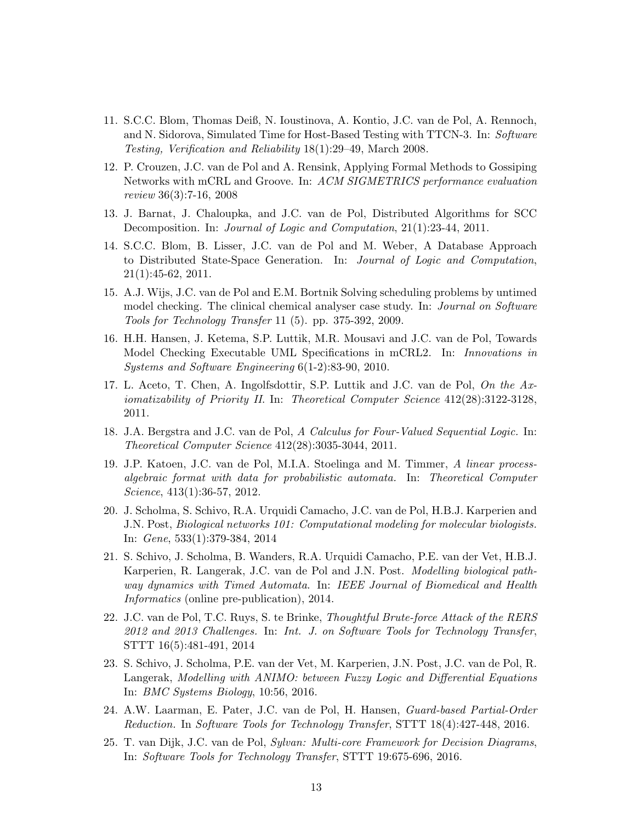- 11. S.C.C. Blom, Thomas Deiß, N. Ioustinova, A. Kontio, J.C. van de Pol, A. Rennoch, and N. Sidorova, Simulated Time for Host-Based Testing with TTCN-3. In: Software Testing, Verification and Reliability 18(1):29–49, March 2008.
- 12. P. Crouzen, J.C. van de Pol and A. Rensink, Applying Formal Methods to Gossiping Networks with mCRL and Groove. In: ACM SIGMETRICS performance evaluation review 36(3):7-16, 2008
- 13. J. Barnat, J. Chaloupka, and J.C. van de Pol, Distributed Algorithms for SCC Decomposition. In: *Journal of Logic and Computation*, 21(1):23-44, 2011.
- 14. S.C.C. Blom, B. Lisser, J.C. van de Pol and M. Weber, A Database Approach to Distributed State-Space Generation. In: Journal of Logic and Computation, 21(1):45-62, 2011.
- 15. A.J. Wijs, J.C. van de Pol and E.M. Bortnik Solving scheduling problems by untimed model checking. The clinical chemical analyser case study. In: *Journal on Software* Tools for Technology Transfer 11 (5). pp. 375-392, 2009.
- 16. H.H. Hansen, J. Ketema, S.P. Luttik, M.R. Mousavi and J.C. van de Pol, Towards Model Checking Executable UML Specifications in mCRL2. In: Innovations in Systems and Software Engineering 6(1-2):83-90, 2010.
- 17. L. Aceto, T. Chen, A. Ingolfsdottir, S.P. Luttik and J.C. van de Pol, On the Axiomatizability of Priority II. In: Theoretical Computer Science 412(28):3122-3128, 2011.
- 18. J.A. Bergstra and J.C. van de Pol, A Calculus for Four-Valued Sequential Logic. In: Theoretical Computer Science 412(28):3035-3044, 2011.
- 19. J.P. Katoen, J.C. van de Pol, M.I.A. Stoelinga and M. Timmer, A linear processalgebraic format with data for probabilistic automata. In: Theoretical Computer Science, 413(1):36-57, 2012.
- 20. J. Scholma, S. Schivo, R.A. Urquidi Camacho, J.C. van de Pol, H.B.J. Karperien and J.N. Post, Biological networks 101: Computational modeling for molecular biologists. In: Gene, 533(1):379-384, 2014
- 21. S. Schivo, J. Scholma, B. Wanders, R.A. Urquidi Camacho, P.E. van der Vet, H.B.J. Karperien, R. Langerak, J.C. van de Pol and J.N. Post. Modelling biological pathway dynamics with Timed Automata. In: IEEE Journal of Biomedical and Health Informatics (online pre-publication), 2014.
- 22. J.C. van de Pol, T.C. Ruys, S. te Brinke, Thoughtful Brute-force Attack of the RERS 2012 and 2013 Challenges. In: Int. J. on Software Tools for Technology Transfer, STTT 16(5):481-491, 2014
- 23. S. Schivo, J. Scholma, P.E. van der Vet, M. Karperien, J.N. Post, J.C. van de Pol, R. Langerak, Modelling with ANIMO: between Fuzzy Logic and Differential Equations In: BMC Systems Biology, 10:56, 2016.
- 24. A.W. Laarman, E. Pater, J.C. van de Pol, H. Hansen, Guard-based Partial-Order Reduction. In Software Tools for Technology Transfer, STTT 18(4):427-448, 2016.
- 25. T. van Dijk, J.C. van de Pol, Sylvan: Multi-core Framework for Decision Diagrams, In: Software Tools for Technology Transfer, STTT 19:675-696, 2016.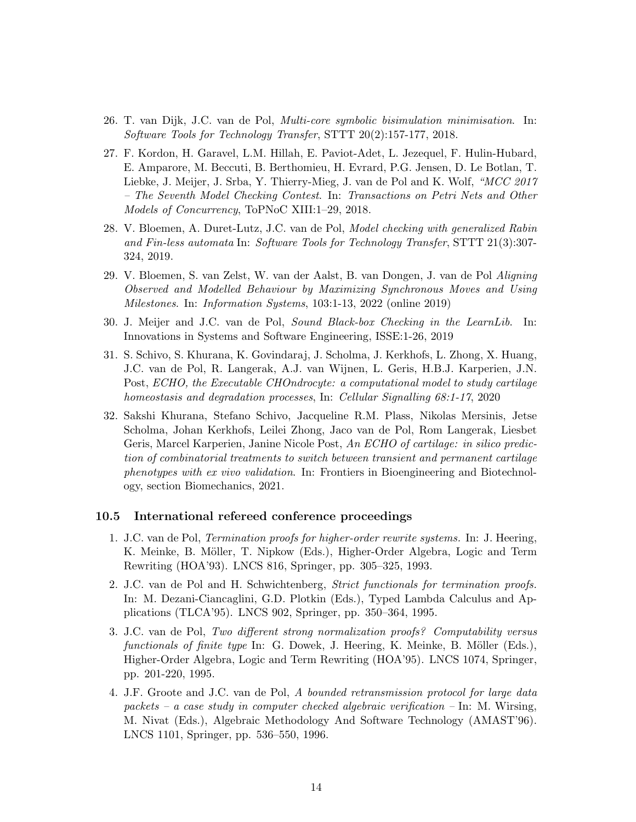- 26. T. van Dijk, J.C. van de Pol, Multi-core symbolic bisimulation minimisation. In: Software Tools for Technology Transfer, STTT 20(2):157-177, 2018.
- 27. F. Kordon, H. Garavel, L.M. Hillah, E. Paviot-Adet, L. Jezequel, F. Hulin-Hubard, E. Amparore, M. Beccuti, B. Berthomieu, H. Evrard, P.G. Jensen, D. Le Botlan, T. Liebke, J. Meijer, J. Srba, Y. Thierry-Mieg, J. van de Pol and K. Wolf, "MCC 2017 – The Seventh Model Checking Contest. In: Transactions on Petri Nets and Other Models of Concurrency, ToPNoC XIII:1–29, 2018.
- 28. V. Bloemen, A. Duret-Lutz, J.C. van de Pol, Model checking with generalized Rabin and Fin-less automata In: Software Tools for Technology Transfer, STTT 21(3):307- 324, 2019.
- 29. V. Bloemen, S. van Zelst, W. van der Aalst, B. van Dongen, J. van de Pol Aligning Observed and Modelled Behaviour by Maximizing Synchronous Moves and Using Milestones. In: Information Systems, 103:1-13, 2022 (online 2019)
- 30. J. Meijer and J.C. van de Pol, Sound Black-box Checking in the LearnLib. In: Innovations in Systems and Software Engineering, ISSE:1-26, 2019
- 31. S. Schivo, S. Khurana, K. Govindaraj, J. Scholma, J. Kerkhofs, L. Zhong, X. Huang, J.C. van de Pol, R. Langerak, A.J. van Wijnen, L. Geris, H.B.J. Karperien, J.N. Post, ECHO, the Executable CHOndrocyte: a computational model to study cartilage homeostasis and degradation processes, In: Cellular Signalling 68:1-17, 2020
- 32. Sakshi Khurana, Stefano Schivo, Jacqueline R.M. Plass, Nikolas Mersinis, Jetse Scholma, Johan Kerkhofs, Leilei Zhong, Jaco van de Pol, Rom Langerak, Liesbet Geris, Marcel Karperien, Janine Nicole Post, An ECHO of cartilage: in silico prediction of combinatorial treatments to switch between transient and permanent cartilage phenotypes with ex vivo validation. In: Frontiers in Bioengineering and Biotechnology, section Biomechanics, 2021.

#### 10.5 International refereed conference proceedings

- 1. J.C. van de Pol, Termination proofs for higher-order rewrite systems. In: J. Heering, K. Meinke, B. Möller, T. Nipkow (Eds.), Higher-Order Algebra, Logic and Term Rewriting (HOA'93). LNCS 816, Springer, pp. 305–325, 1993.
- 2. J.C. van de Pol and H. Schwichtenberg, Strict functionals for termination proofs. In: M. Dezani-Ciancaglini, G.D. Plotkin (Eds.), Typed Lambda Calculus and Applications (TLCA'95). LNCS 902, Springer, pp. 350–364, 1995.
- 3. J.C. van de Pol, Two different strong normalization proofs? Computability versus functionals of finite type In: G. Dowek, J. Heering, K. Meinke, B. Möller (Eds.), Higher-Order Algebra, Logic and Term Rewriting (HOA'95). LNCS 1074, Springer, pp. 201-220, 1995.
- 4. J.F. Groote and J.C. van de Pol, A bounded retransmission protocol for large data packets – a case study in computer checked algebraic verification – In: M. Wirsing, M. Nivat (Eds.), Algebraic Methodology And Software Technology (AMAST'96). LNCS 1101, Springer, pp. 536–550, 1996.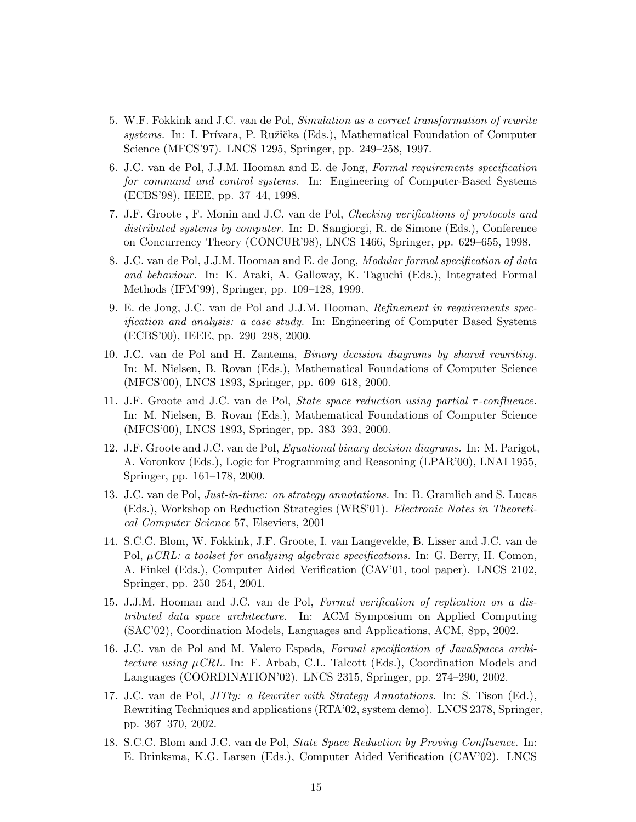- 5. W.F. Fokkink and J.C. van de Pol, Simulation as a correct transformation of rewrite systems. In: I. Prívara, P. Ružička (Eds.), Mathematical Foundation of Computer Science (MFCS'97). LNCS 1295, Springer, pp. 249–258, 1997.
- 6. J.C. van de Pol, J.J.M. Hooman and E. de Jong, Formal requirements specification for command and control systems. In: Engineering of Computer-Based Systems (ECBS'98), IEEE, pp. 37–44, 1998.
- 7. J.F. Groote , F. Monin and J.C. van de Pol, Checking verifications of protocols and distributed systems by computer. In: D. Sangiorgi, R. de Simone (Eds.), Conference on Concurrency Theory (CONCUR'98), LNCS 1466, Springer, pp. 629–655, 1998.
- 8. J.C. van de Pol, J.J.M. Hooman and E. de Jong, Modular formal specification of data and behaviour. In: K. Araki, A. Galloway, K. Taguchi (Eds.), Integrated Formal Methods (IFM'99), Springer, pp. 109–128, 1999.
- 9. E. de Jong, J.C. van de Pol and J.J.M. Hooman, Refinement in requirements specification and analysis: a case study. In: Engineering of Computer Based Systems (ECBS'00), IEEE, pp. 290–298, 2000.
- 10. J.C. van de Pol and H. Zantema, Binary decision diagrams by shared rewriting. In: M. Nielsen, B. Rovan (Eds.), Mathematical Foundations of Computer Science (MFCS'00), LNCS 1893, Springer, pp. 609–618, 2000.
- 11. J.F. Groote and J.C. van de Pol, *State space reduction using partial*  $\tau$ -confluence. In: M. Nielsen, B. Rovan (Eds.), Mathematical Foundations of Computer Science (MFCS'00), LNCS 1893, Springer, pp. 383–393, 2000.
- 12. J.F. Groote and J.C. van de Pol, Equational binary decision diagrams. In: M. Parigot, A. Voronkov (Eds.), Logic for Programming and Reasoning (LPAR'00), LNAI 1955, Springer, pp. 161–178, 2000.
- 13. J.C. van de Pol, Just-in-time: on strategy annotations. In: B. Gramlich and S. Lucas (Eds.), Workshop on Reduction Strategies (WRS'01). Electronic Notes in Theoretical Computer Science 57, Elseviers, 2001
- 14. S.C.C. Blom, W. Fokkink, J.F. Groote, I. van Langevelde, B. Lisser and J.C. van de Pol,  $\mu$ CRL: a toolset for analysing algebraic specifications. In: G. Berry, H. Comon, A. Finkel (Eds.), Computer Aided Verification (CAV'01, tool paper). LNCS 2102, Springer, pp. 250–254, 2001.
- 15. J.J.M. Hooman and J.C. van de Pol, Formal verification of replication on a distributed data space architecture. In: ACM Symposium on Applied Computing (SAC'02), Coordination Models, Languages and Applications, ACM, 8pp, 2002.
- 16. J.C. van de Pol and M. Valero Espada, Formal specification of JavaSpaces architecture using  $\mu$ CRL. In: F. Arbab, C.L. Talcott (Eds.), Coordination Models and Languages (COORDINATION'02). LNCS 2315, Springer, pp. 274–290, 2002.
- 17. J.C. van de Pol, JITty: a Rewriter with Strategy Annotations. In: S. Tison (Ed.), Rewriting Techniques and applications (RTA'02, system demo). LNCS 2378, Springer, pp. 367–370, 2002.
- 18. S.C.C. Blom and J.C. van de Pol, State Space Reduction by Proving Confluence. In: E. Brinksma, K.G. Larsen (Eds.), Computer Aided Verification (CAV'02). LNCS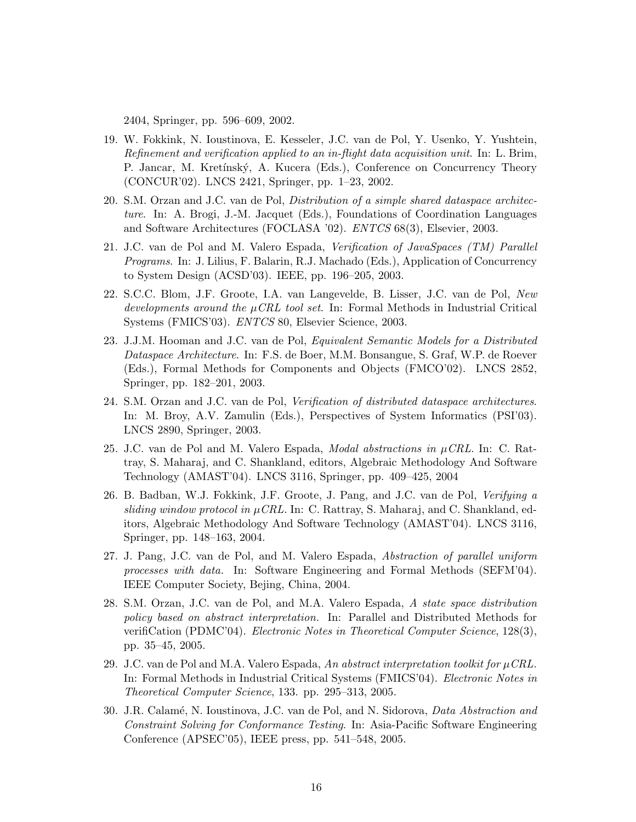2404, Springer, pp. 596–609, 2002.

- 19. W. Fokkink, N. Ioustinova, E. Kesseler, J.C. van de Pol, Y. Usenko, Y. Yushtein, Refinement and verification applied to an in-flight data acquisition unit. In: L. Brim, P. Jancar, M. Kretínský, A. Kucera (Eds.), Conference on Concurrency Theory (CONCUR'02). LNCS 2421, Springer, pp. 1–23, 2002.
- 20. S.M. Orzan and J.C. van de Pol, Distribution of a simple shared dataspace architecture. In: A. Brogi, J.-M. Jacquet (Eds.), Foundations of Coordination Languages and Software Architectures (FOCLASA '02). ENTCS 68(3), Elsevier, 2003.
- 21. J.C. van de Pol and M. Valero Espada, Verification of JavaSpaces (TM) Parallel Programs. In: J. Lilius, F. Balarin, R.J. Machado (Eds.), Application of Concurrency to System Design (ACSD'03). IEEE, pp. 196–205, 2003.
- 22. S.C.C. Blom, J.F. Groote, I.A. van Langevelde, B. Lisser, J.C. van de Pol, New developments around the  $\mu$ CRL tool set. In: Formal Methods in Industrial Critical Systems (FMICS'03). ENTCS 80, Elsevier Science, 2003.
- 23. J.J.M. Hooman and J.C. van de Pol, Equivalent Semantic Models for a Distributed Dataspace Architecture. In: F.S. de Boer, M.M. Bonsangue, S. Graf, W.P. de Roever (Eds.), Formal Methods for Components and Objects (FMCO'02). LNCS 2852, Springer, pp. 182–201, 2003.
- 24. S.M. Orzan and J.C. van de Pol, Verification of distributed dataspace architectures. In: M. Broy, A.V. Zamulin (Eds.), Perspectives of System Informatics (PSI'03). LNCS 2890, Springer, 2003.
- 25. J.C. van de Pol and M. Valero Espada, *Modal abstractions in*  $\mu$ *CRL*. In: C. Rattray, S. Maharaj, and C. Shankland, editors, Algebraic Methodology And Software Technology (AMAST'04). LNCS 3116, Springer, pp. 409–425, 2004
- 26. B. Badban, W.J. Fokkink, J.F. Groote, J. Pang, and J.C. van de Pol, Verifying a sliding window protocol in  $\mu$ CRL. In: C. Rattray, S. Maharaj, and C. Shankland, editors, Algebraic Methodology And Software Technology (AMAST'04). LNCS 3116, Springer, pp. 148–163, 2004.
- 27. J. Pang, J.C. van de Pol, and M. Valero Espada, Abstraction of parallel uniform processes with data. In: Software Engineering and Formal Methods (SEFM'04). IEEE Computer Society, Bejing, China, 2004.
- 28. S.M. Orzan, J.C. van de Pol, and M.A. Valero Espada, A state space distribution policy based on abstract interpretation. In: Parallel and Distributed Methods for verifiCation (PDMC'04). Electronic Notes in Theoretical Computer Science, 128(3), pp. 35–45, 2005.
- 29. J.C. van de Pol and M.A. Valero Espada, An abstract interpretation toolkit for  $\mu$ CRL. In: Formal Methods in Industrial Critical Systems (FMICS'04). Electronic Notes in Theoretical Computer Science, 133. pp. 295–313, 2005.
- 30. J.R. Calam´e, N. Ioustinova, J.C. van de Pol, and N. Sidorova, Data Abstraction and Constraint Solving for Conformance Testing. In: Asia-Pacific Software Engineering Conference (APSEC'05), IEEE press, pp. 541–548, 2005.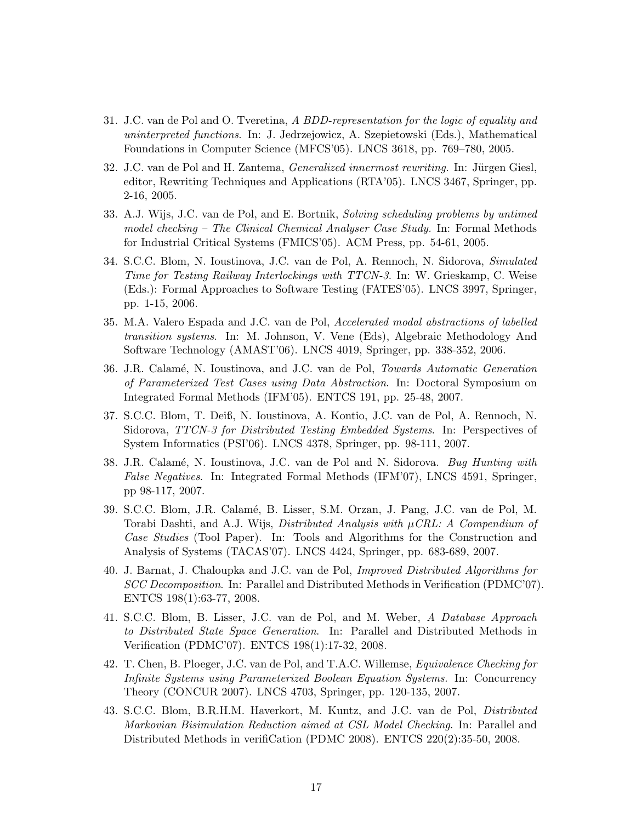- 31. J.C. van de Pol and O. Tveretina, A BDD-representation for the logic of equality and uninterpreted functions. In: J. Jedrzejowicz, A. Szepietowski (Eds.), Mathematical Foundations in Computer Science (MFCS'05). LNCS 3618, pp. 769–780, 2005.
- 32. J.C. van de Pol and H. Zantema, Generalized innermost rewriting. In: Jürgen Giesl, editor, Rewriting Techniques and Applications (RTA'05). LNCS 3467, Springer, pp. 2-16, 2005.
- 33. A.J. Wijs, J.C. van de Pol, and E. Bortnik, Solving scheduling problems by untimed model checking – The Clinical Chemical Analyser Case Study. In: Formal Methods for Industrial Critical Systems (FMICS'05). ACM Press, pp. 54-61, 2005.
- 34. S.C.C. Blom, N. Ioustinova, J.C. van de Pol, A. Rennoch, N. Sidorova, Simulated Time for Testing Railway Interlockings with TTCN-3. In: W. Grieskamp, C. Weise (Eds.): Formal Approaches to Software Testing (FATES'05). LNCS 3997, Springer, pp. 1-15, 2006.
- 35. M.A. Valero Espada and J.C. van de Pol, Accelerated modal abstractions of labelled transition systems. In: M. Johnson, V. Vene (Eds), Algebraic Methodology And Software Technology (AMAST'06). LNCS 4019, Springer, pp. 338-352, 2006.
- 36. J.R. Calam´e, N. Ioustinova, and J.C. van de Pol, Towards Automatic Generation of Parameterized Test Cases using Data Abstraction. In: Doctoral Symposium on Integrated Formal Methods (IFM'05). ENTCS 191, pp. 25-48, 2007.
- 37. S.C.C. Blom, T. Deiß, N. Ioustinova, A. Kontio, J.C. van de Pol, A. Rennoch, N. Sidorova, TTCN-3 for Distributed Testing Embedded Systems. In: Perspectives of System Informatics (PSI'06). LNCS 4378, Springer, pp. 98-111, 2007.
- 38. J.R. Calamé, N. Ioustinova, J.C. van de Pol and N. Sidorova. Bug Hunting with False Negatives. In: Integrated Formal Methods (IFM'07), LNCS 4591, Springer, pp 98-117, 2007.
- 39. S.C.C. Blom, J.R. Calam´e, B. Lisser, S.M. Orzan, J. Pang, J.C. van de Pol, M. Torabi Dashti, and A.J. Wijs, *Distributed Analysis with*  $\mu$ CRL: A Compendium of Case Studies (Tool Paper). In: Tools and Algorithms for the Construction and Analysis of Systems (TACAS'07). LNCS 4424, Springer, pp. 683-689, 2007.
- 40. J. Barnat, J. Chaloupka and J.C. van de Pol, Improved Distributed Algorithms for SCC Decomposition. In: Parallel and Distributed Methods in Verification (PDMC'07). ENTCS 198(1):63-77, 2008.
- 41. S.C.C. Blom, B. Lisser, J.C. van de Pol, and M. Weber, A Database Approach to Distributed State Space Generation. In: Parallel and Distributed Methods in Verification (PDMC'07). ENTCS 198(1):17-32, 2008.
- 42. T. Chen, B. Ploeger, J.C. van de Pol, and T.A.C. Willemse, Equivalence Checking for Infinite Systems using Parameterized Boolean Equation Systems. In: Concurrency Theory (CONCUR 2007). LNCS 4703, Springer, pp. 120-135, 2007.
- 43. S.C.C. Blom, B.R.H.M. Haverkort, M. Kuntz, and J.C. van de Pol, Distributed Markovian Bisimulation Reduction aimed at CSL Model Checking. In: Parallel and Distributed Methods in verifiCation (PDMC 2008). ENTCS 220(2):35-50, 2008.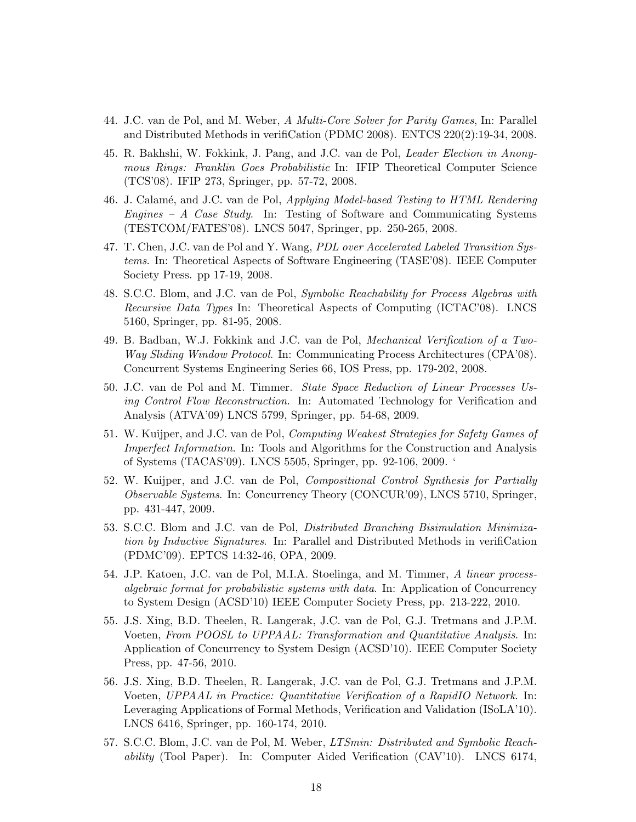- 44. J.C. van de Pol, and M. Weber, A Multi-Core Solver for Parity Games, In: Parallel and Distributed Methods in verifiCation (PDMC 2008). ENTCS 220(2):19-34, 2008.
- 45. R. Bakhshi, W. Fokkink, J. Pang, and J.C. van de Pol, Leader Election in Anonymous Rings: Franklin Goes Probabilistic In: IFIP Theoretical Computer Science (TCS'08). IFIP 273, Springer, pp. 57-72, 2008.
- 46. J. Calam´e, and J.C. van de Pol, Applying Model-based Testing to HTML Rendering Engines – A Case Study. In: Testing of Software and Communicating Systems (TESTCOM/FATES'08). LNCS 5047, Springer, pp. 250-265, 2008.
- 47. T. Chen, J.C. van de Pol and Y. Wang, PDL over Accelerated Labeled Transition Systems. In: Theoretical Aspects of Software Engineering (TASE'08). IEEE Computer Society Press. pp 17-19, 2008.
- 48. S.C.C. Blom, and J.C. van de Pol, Symbolic Reachability for Process Algebras with Recursive Data Types In: Theoretical Aspects of Computing (ICTAC'08). LNCS 5160, Springer, pp. 81-95, 2008.
- 49. B. Badban, W.J. Fokkink and J.C. van de Pol, Mechanical Verification of a Two-Way Sliding Window Protocol. In: Communicating Process Architectures (CPA'08). Concurrent Systems Engineering Series 66, IOS Press, pp. 179-202, 2008.
- 50. J.C. van de Pol and M. Timmer. State Space Reduction of Linear Processes Using Control Flow Reconstruction. In: Automated Technology for Verification and Analysis (ATVA'09) LNCS 5799, Springer, pp. 54-68, 2009.
- 51. W. Kuijper, and J.C. van de Pol, Computing Weakest Strategies for Safety Games of Imperfect Information. In: Tools and Algorithms for the Construction and Analysis of Systems (TACAS'09). LNCS 5505, Springer, pp. 92-106, 2009. '
- 52. W. Kuijper, and J.C. van de Pol, Compositional Control Synthesis for Partially Observable Systems. In: Concurrency Theory (CONCUR'09), LNCS 5710, Springer, pp. 431-447, 2009.
- 53. S.C.C. Blom and J.C. van de Pol, Distributed Branching Bisimulation Minimization by Inductive Signatures. In: Parallel and Distributed Methods in verifiCation (PDMC'09). EPTCS 14:32-46, OPA, 2009.
- 54. J.P. Katoen, J.C. van de Pol, M.I.A. Stoelinga, and M. Timmer, A linear processalgebraic format for probabilistic systems with data. In: Application of Concurrency to System Design (ACSD'10) IEEE Computer Society Press, pp. 213-222, 2010.
- 55. J.S. Xing, B.D. Theelen, R. Langerak, J.C. van de Pol, G.J. Tretmans and J.P.M. Voeten, From POOSL to UPPAAL: Transformation and Quantitative Analysis. In: Application of Concurrency to System Design (ACSD'10). IEEE Computer Society Press, pp. 47-56, 2010.
- 56. J.S. Xing, B.D. Theelen, R. Langerak, J.C. van de Pol, G.J. Tretmans and J.P.M. Voeten, UPPAAL in Practice: Quantitative Verification of a RapidIO Network. In: Leveraging Applications of Formal Methods, Verification and Validation (ISoLA'10). LNCS 6416, Springer, pp. 160-174, 2010.
- 57. S.C.C. Blom, J.C. van de Pol, M. Weber, LTSmin: Distributed and Symbolic Reachability (Tool Paper). In: Computer Aided Verification (CAV'10). LNCS 6174,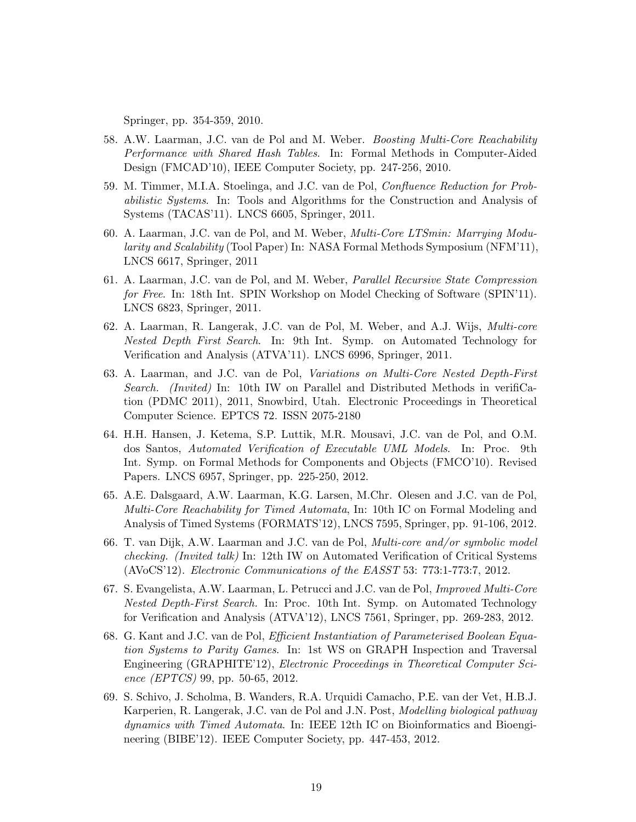Springer, pp. 354-359, 2010.

- 58. A.W. Laarman, J.C. van de Pol and M. Weber. Boosting Multi-Core Reachability Performance with Shared Hash Tables. In: Formal Methods in Computer-Aided Design (FMCAD'10), IEEE Computer Society, pp. 247-256, 2010.
- 59. M. Timmer, M.I.A. Stoelinga, and J.C. van de Pol, Confluence Reduction for Probabilistic Systems. In: Tools and Algorithms for the Construction and Analysis of Systems (TACAS'11). LNCS 6605, Springer, 2011.
- 60. A. Laarman, J.C. van de Pol, and M. Weber, Multi-Core LTSmin: Marrying Modularity and Scalability (Tool Paper) In: NASA Formal Methods Symposium (NFM'11), LNCS 6617, Springer, 2011
- 61. A. Laarman, J.C. van de Pol, and M. Weber, Parallel Recursive State Compression for Free. In: 18th Int. SPIN Workshop on Model Checking of Software (SPIN'11). LNCS 6823, Springer, 2011.
- 62. A. Laarman, R. Langerak, J.C. van de Pol, M. Weber, and A.J. Wijs, Multi-core Nested Depth First Search. In: 9th Int. Symp. on Automated Technology for Verification and Analysis (ATVA'11). LNCS 6996, Springer, 2011.
- 63. A. Laarman, and J.C. van de Pol, Variations on Multi-Core Nested Depth-First Search. (Invited) In: 10th IW on Parallel and Distributed Methods in verifiCation (PDMC 2011), 2011, Snowbird, Utah. Electronic Proceedings in Theoretical Computer Science. EPTCS 72. ISSN 2075-2180
- 64. H.H. Hansen, J. Ketema, S.P. Luttik, M.R. Mousavi, J.C. van de Pol, and O.M. dos Santos, Automated Verification of Executable UML Models. In: Proc. 9th Int. Symp. on Formal Methods for Components and Objects (FMCO'10). Revised Papers. LNCS 6957, Springer, pp. 225-250, 2012.
- 65. A.E. Dalsgaard, A.W. Laarman, K.G. Larsen, M.Chr. Olesen and J.C. van de Pol, Multi-Core Reachability for Timed Automata, In: 10th IC on Formal Modeling and Analysis of Timed Systems (FORMATS'12), LNCS 7595, Springer, pp. 91-106, 2012.
- 66. T. van Dijk, A.W. Laarman and J.C. van de Pol, Multi-core and/or symbolic model checking. (Invited talk) In: 12th IW on Automated Verification of Critical Systems (AVoCS'12). Electronic Communications of the EASST 53: 773:1-773:7, 2012.
- 67. S. Evangelista, A.W. Laarman, L. Petrucci and J.C. van de Pol, Improved Multi-Core Nested Depth-First Search. In: Proc. 10th Int. Symp. on Automated Technology for Verification and Analysis (ATVA'12), LNCS 7561, Springer, pp. 269-283, 2012.
- 68. G. Kant and J.C. van de Pol, Efficient Instantiation of Parameterised Boolean Equation Systems to Parity Games. In: 1st WS on GRAPH Inspection and Traversal Engineering (GRAPHITE'12), Electronic Proceedings in Theoretical Computer Science (EPTCS) 99, pp. 50-65, 2012.
- 69. S. Schivo, J. Scholma, B. Wanders, R.A. Urquidi Camacho, P.E. van der Vet, H.B.J. Karperien, R. Langerak, J.C. van de Pol and J.N. Post, Modelling biological pathway dynamics with Timed Automata. In: IEEE 12th IC on Bioinformatics and Bioengineering (BIBE'12). IEEE Computer Society, pp. 447-453, 2012.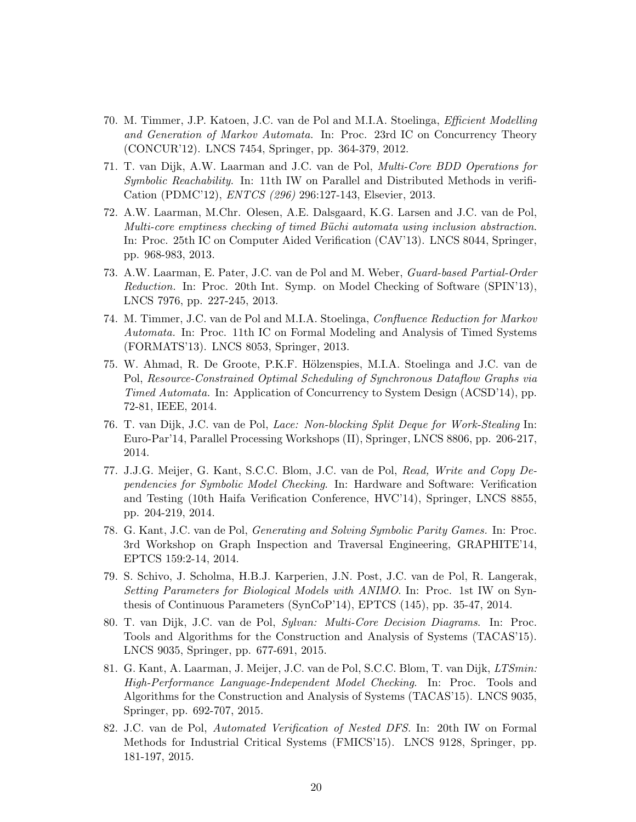- 70. M. Timmer, J.P. Katoen, J.C. van de Pol and M.I.A. Stoelinga, Efficient Modelling and Generation of Markov Automata. In: Proc. 23rd IC on Concurrency Theory (CONCUR'12). LNCS 7454, Springer, pp. 364-379, 2012.
- 71. T. van Dijk, A.W. Laarman and J.C. van de Pol, Multi-Core BDD Operations for Symbolic Reachability. In: 11th IW on Parallel and Distributed Methods in verifi-Cation (PDMC'12), ENTCS (296) 296:127-143, Elsevier, 2013.
- 72. A.W. Laarman, M.Chr. Olesen, A.E. Dalsgaard, K.G. Larsen and J.C. van de Pol, Multi-core emptiness checking of timed Büchi automata using inclusion abstraction. In: Proc. 25th IC on Computer Aided Verification (CAV'13). LNCS 8044, Springer, pp. 968-983, 2013.
- 73. A.W. Laarman, E. Pater, J.C. van de Pol and M. Weber, Guard-based Partial-Order Reduction. In: Proc. 20th Int. Symp. on Model Checking of Software (SPIN'13), LNCS 7976, pp. 227-245, 2013.
- 74. M. Timmer, J.C. van de Pol and M.I.A. Stoelinga, Confluence Reduction for Markov Automata. In: Proc. 11th IC on Formal Modeling and Analysis of Timed Systems (FORMATS'13). LNCS 8053, Springer, 2013.
- 75. W. Ahmad, R. De Groote, P.K.F. Hölzenspies, M.I.A. Stoelinga and J.C. van de Pol, Resource-Constrained Optimal Scheduling of Synchronous Dataflow Graphs via Timed Automata. In: Application of Concurrency to System Design (ACSD'14), pp. 72-81, IEEE, 2014.
- 76. T. van Dijk, J.C. van de Pol, Lace: Non-blocking Split Deque for Work-Stealing In: Euro-Par'14, Parallel Processing Workshops (II), Springer, LNCS 8806, pp. 206-217, 2014.
- 77. J.J.G. Meijer, G. Kant, S.C.C. Blom, J.C. van de Pol, Read, Write and Copy Dependencies for Symbolic Model Checking. In: Hardware and Software: Verification and Testing (10th Haifa Verification Conference, HVC'14), Springer, LNCS 8855, pp. 204-219, 2014.
- 78. G. Kant, J.C. van de Pol, Generating and Solving Symbolic Parity Games. In: Proc. 3rd Workshop on Graph Inspection and Traversal Engineering, GRAPHITE'14, EPTCS 159:2-14, 2014.
- 79. S. Schivo, J. Scholma, H.B.J. Karperien, J.N. Post, J.C. van de Pol, R. Langerak, Setting Parameters for Biological Models with ANIMO. In: Proc. 1st IW on Synthesis of Continuous Parameters (SynCoP'14), EPTCS (145), pp. 35-47, 2014.
- 80. T. van Dijk, J.C. van de Pol, Sylvan: Multi-Core Decision Diagrams. In: Proc. Tools and Algorithms for the Construction and Analysis of Systems (TACAS'15). LNCS 9035, Springer, pp. 677-691, 2015.
- 81. G. Kant, A. Laarman, J. Meijer, J.C. van de Pol, S.C.C. Blom, T. van Dijk, LTSmin: High-Performance Language-Independent Model Checking. In: Proc. Tools and Algorithms for the Construction and Analysis of Systems (TACAS'15). LNCS 9035, Springer, pp. 692-707, 2015.
- 82. J.C. van de Pol, Automated Verification of Nested DFS. In: 20th IW on Formal Methods for Industrial Critical Systems (FMICS'15). LNCS 9128, Springer, pp. 181-197, 2015.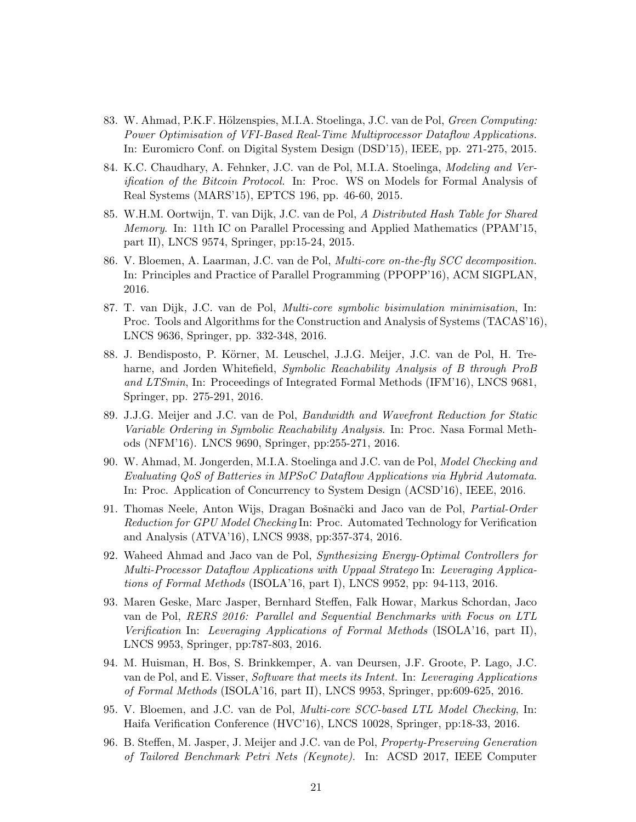- 83. W. Ahmad, P.K.F. Hölzenspies, M.I.A. Stoelinga, J.C. van de Pol, *Green Computing:* Power Optimisation of VFI-Based Real-Time Multiprocessor Dataflow Applications. In: Euromicro Conf. on Digital System Design (DSD'15), IEEE, pp. 271-275, 2015.
- 84. K.C. Chaudhary, A. Fehnker, J.C. van de Pol, M.I.A. Stoelinga, Modeling and Verification of the Bitcoin Protocol. In: Proc. WS on Models for Formal Analysis of Real Systems (MARS'15), EPTCS 196, pp. 46-60, 2015.
- 85. W.H.M. Oortwijn, T. van Dijk, J.C. van de Pol, A Distributed Hash Table for Shared Memory. In: 11th IC on Parallel Processing and Applied Mathematics (PPAM'15, part II), LNCS 9574, Springer, pp:15-24, 2015.
- 86. V. Bloemen, A. Laarman, J.C. van de Pol, Multi-core on-the-fly SCC decomposition. In: Principles and Practice of Parallel Programming (PPOPP'16), ACM SIGPLAN, 2016.
- 87. T. van Dijk, J.C. van de Pol, Multi-core symbolic bisimulation minimisation, In: Proc. Tools and Algorithms for the Construction and Analysis of Systems (TACAS'16), LNCS 9636, Springer, pp. 332-348, 2016.
- 88. J. Bendisposto, P. Körner, M. Leuschel, J.J.G. Meijer, J.C. van de Pol, H. Treharne, and Jorden Whitefield, Symbolic Reachability Analysis of B through ProB and LTSmin, In: Proceedings of Integrated Formal Methods (IFM'16), LNCS 9681, Springer, pp. 275-291, 2016.
- 89. J.J.G. Meijer and J.C. van de Pol, Bandwidth and Wavefront Reduction for Static Variable Ordering in Symbolic Reachability Analysis. In: Proc. Nasa Formal Methods (NFM'16). LNCS 9690, Springer, pp:255-271, 2016.
- 90. W. Ahmad, M. Jongerden, M.I.A. Stoelinga and J.C. van de Pol, Model Checking and Evaluating QoS of Batteries in MPSoC Dataflow Applications via Hybrid Automata. In: Proc. Application of Concurrency to System Design (ACSD'16), IEEE, 2016.
- 91. Thomas Neele, Anton Wijs, Dragan Bošnački and Jaco van de Pol, Partial-Order Reduction for GPU Model Checking In: Proc. Automated Technology for Verification and Analysis (ATVA'16), LNCS 9938, pp:357-374, 2016.
- 92. Waheed Ahmad and Jaco van de Pol, Synthesizing Energy-Optimal Controllers for Multi-Processor Dataflow Applications with Uppaal Stratego In: Leveraging Applications of Formal Methods (ISOLA'16, part I), LNCS 9952, pp: 94-113, 2016.
- 93. Maren Geske, Marc Jasper, Bernhard Steffen, Falk Howar, Markus Schordan, Jaco van de Pol, RERS 2016: Parallel and Sequential Benchmarks with Focus on LTL Verification In: Leveraging Applications of Formal Methods (ISOLA'16, part II), LNCS 9953, Springer, pp:787-803, 2016.
- 94. M. Huisman, H. Bos, S. Brinkkemper, A. van Deursen, J.F. Groote, P. Lago, J.C. van de Pol, and E. Visser, Software that meets its Intent. In: Leveraging Applications of Formal Methods (ISOLA'16, part II), LNCS 9953, Springer, pp:609-625, 2016.
- 95. V. Bloemen, and J.C. van de Pol, Multi-core SCC-based LTL Model Checking, In: Haifa Verification Conference (HVC'16), LNCS 10028, Springer, pp:18-33, 2016.
- 96. B. Steffen, M. Jasper, J. Meijer and J.C. van de Pol, Property-Preserving Generation of Tailored Benchmark Petri Nets (Keynote). In: ACSD 2017, IEEE Computer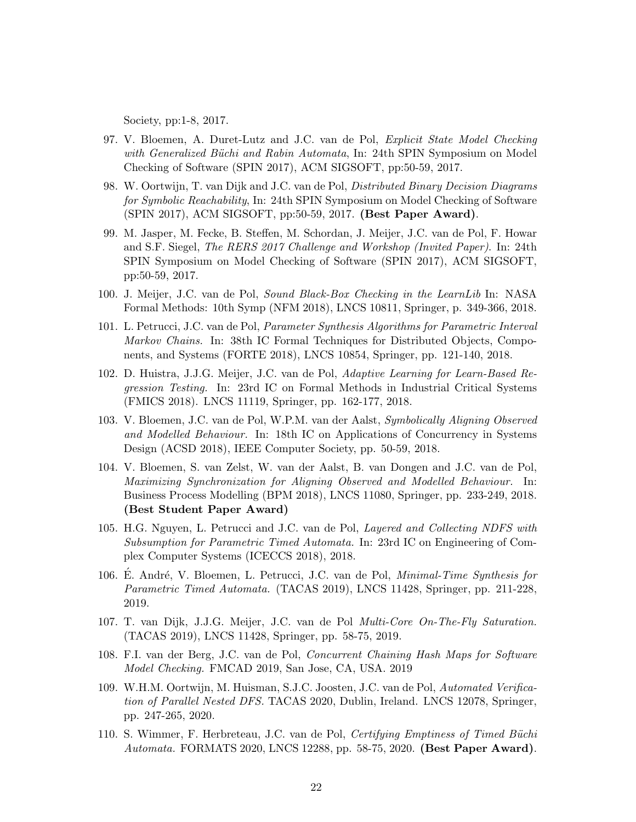Society, pp:1-8, 2017.

- 97. V. Bloemen, A. Duret-Lutz and J.C. van de Pol, Explicit State Model Checking with Generalized Büchi and Rabin Automata, In: 24th SPIN Symposium on Model Checking of Software (SPIN 2017), ACM SIGSOFT, pp:50-59, 2017.
- 98. W. Oortwijn, T. van Dijk and J.C. van de Pol, Distributed Binary Decision Diagrams for Symbolic Reachability, In: 24th SPIN Symposium on Model Checking of Software (SPIN 2017), ACM SIGSOFT, pp:50-59, 2017. (Best Paper Award).
- 99. M. Jasper, M. Fecke, B. Steffen, M. Schordan, J. Meijer, J.C. van de Pol, F. Howar and S.F. Siegel, The RERS 2017 Challenge and Workshop (Invited Paper). In: 24th SPIN Symposium on Model Checking of Software (SPIN 2017), ACM SIGSOFT, pp:50-59, 2017.
- 100. J. Meijer, J.C. van de Pol, Sound Black-Box Checking in the LearnLib In: NASA Formal Methods: 10th Symp (NFM 2018), LNCS 10811, Springer, p. 349-366, 2018.
- 101. L. Petrucci, J.C. van de Pol, Parameter Synthesis Algorithms for Parametric Interval Markov Chains. In: 38th IC Formal Techniques for Distributed Objects, Components, and Systems (FORTE 2018), LNCS 10854, Springer, pp. 121-140, 2018.
- 102. D. Huistra, J.J.G. Meijer, J.C. van de Pol, Adaptive Learning for Learn-Based Regression Testing. In: 23rd IC on Formal Methods in Industrial Critical Systems (FMICS 2018). LNCS 11119, Springer, pp. 162-177, 2018.
- 103. V. Bloemen, J.C. van de Pol, W.P.M. van der Aalst, Symbolically Aligning Observed and Modelled Behaviour. In: 18th IC on Applications of Concurrency in Systems Design (ACSD 2018), IEEE Computer Society, pp. 50-59, 2018.
- 104. V. Bloemen, S. van Zelst, W. van der Aalst, B. van Dongen and J.C. van de Pol, Maximizing Synchronization for Aligning Observed and Modelled Behaviour. In: Business Process Modelling (BPM 2018), LNCS 11080, Springer, pp. 233-249, 2018. (Best Student Paper Award)
- 105. H.G. Nguyen, L. Petrucci and J.C. van de Pol, Layered and Collecting NDFS with Subsumption for Parametric Timed Automata. In: 23rd IC on Engineering of Complex Computer Systems (ICECCS 2018), 2018.
- 106. E. André, V. Bloemen, L. Petrucci, J.C. van de Pol, *Minimal-Time Synthesis for* Parametric Timed Automata. (TACAS 2019), LNCS 11428, Springer, pp. 211-228, 2019.
- 107. T. van Dijk, J.J.G. Meijer, J.C. van de Pol Multi-Core On-The-Fly Saturation. (TACAS 2019), LNCS 11428, Springer, pp. 58-75, 2019.
- 108. F.I. van der Berg, J.C. van de Pol, Concurrent Chaining Hash Maps for Software Model Checking. FMCAD 2019, San Jose, CA, USA. 2019
- 109. W.H.M. Oortwijn, M. Huisman, S.J.C. Joosten, J.C. van de Pol, Automated Verification of Parallel Nested DFS. TACAS 2020, Dublin, Ireland. LNCS 12078, Springer, pp. 247-265, 2020.
- 110. S. Wimmer, F. Herbreteau, J.C. van de Pol, Certifying Emptiness of Timed Büchi Automata. FORMATS 2020, LNCS 12288, pp. 58-75, 2020. (Best Paper Award).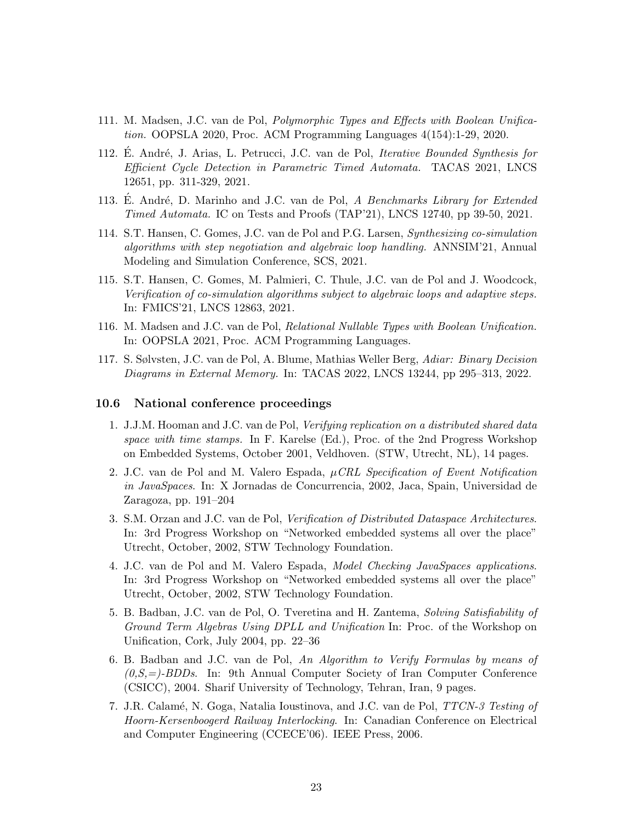- 111. M. Madsen, J.C. van de Pol, Polymorphic Types and Effects with Boolean Unification. OOPSLA 2020, Proc. ACM Programming Languages 4(154):1-29, 2020.
- 112. E. André, J. Arias, L. Petrucci, J.C. van de Pol, *Iterative Bounded Synthesis for* Efficient Cycle Detection in Parametric Timed Automata. TACAS 2021, LNCS 12651, pp. 311-329, 2021.
- 113. E. André, D. Marinho and J.C. van de Pol, A Benchmarks Library for Extended Timed Automata. IC on Tests and Proofs (TAP'21), LNCS 12740, pp 39-50, 2021.
- 114. S.T. Hansen, C. Gomes, J.C. van de Pol and P.G. Larsen, Synthesizing co-simulation algorithms with step negotiation and algebraic loop handling. ANNSIM'21, Annual Modeling and Simulation Conference, SCS, 2021.
- 115. S.T. Hansen, C. Gomes, M. Palmieri, C. Thule, J.C. van de Pol and J. Woodcock, Verification of co-simulation algorithms subject to algebraic loops and adaptive steps. In: FMICS'21, LNCS 12863, 2021.
- 116. M. Madsen and J.C. van de Pol, Relational Nullable Types with Boolean Unification. In: OOPSLA 2021, Proc. ACM Programming Languages.
- 117. S. Sølvsten, J.C. van de Pol, A. Blume, Mathias Weller Berg, Adiar: Binary Decision Diagrams in External Memory. In: TACAS 2022, LNCS 13244, pp 295–313, 2022.

#### 10.6 National conference proceedings

- 1. J.J.M. Hooman and J.C. van de Pol, Verifying replication on a distributed shared data space with time stamps. In F. Karelse (Ed.), Proc. of the 2nd Progress Workshop on Embedded Systems, October 2001, Veldhoven. (STW, Utrecht, NL), 14 pages.
- 2. J.C. van de Pol and M. Valero Espada,  $\mu$ CRL Specification of Event Notification in JavaSpaces. In: X Jornadas de Concurrencia, 2002, Jaca, Spain, Universidad de Zaragoza, pp. 191–204
- 3. S.M. Orzan and J.C. van de Pol, Verification of Distributed Dataspace Architectures. In: 3rd Progress Workshop on "Networked embedded systems all over the place" Utrecht, October, 2002, STW Technology Foundation.
- 4. J.C. van de Pol and M. Valero Espada, Model Checking JavaSpaces applications. In: 3rd Progress Workshop on "Networked embedded systems all over the place" Utrecht, October, 2002, STW Technology Foundation.
- 5. B. Badban, J.C. van de Pol, O. Tveretina and H. Zantema, Solving Satisfiability of Ground Term Algebras Using DPLL and Unification In: Proc. of the Workshop on Unification, Cork, July 2004, pp. 22–36
- 6. B. Badban and J.C. van de Pol, An Algorithm to Verify Formulas by means of  $(0, S, =)$ -BDDs. In: 9th Annual Computer Society of Iran Computer Conference (CSICC), 2004. Sharif University of Technology, Tehran, Iran, 9 pages.
- 7. J.R. Calamé, N. Goga, Natalia Ioustinova, and J.C. van de Pol, *TTCN-3 Testing of* Hoorn-Kersenboogerd Railway Interlocking. In: Canadian Conference on Electrical and Computer Engineering (CCECE'06). IEEE Press, 2006.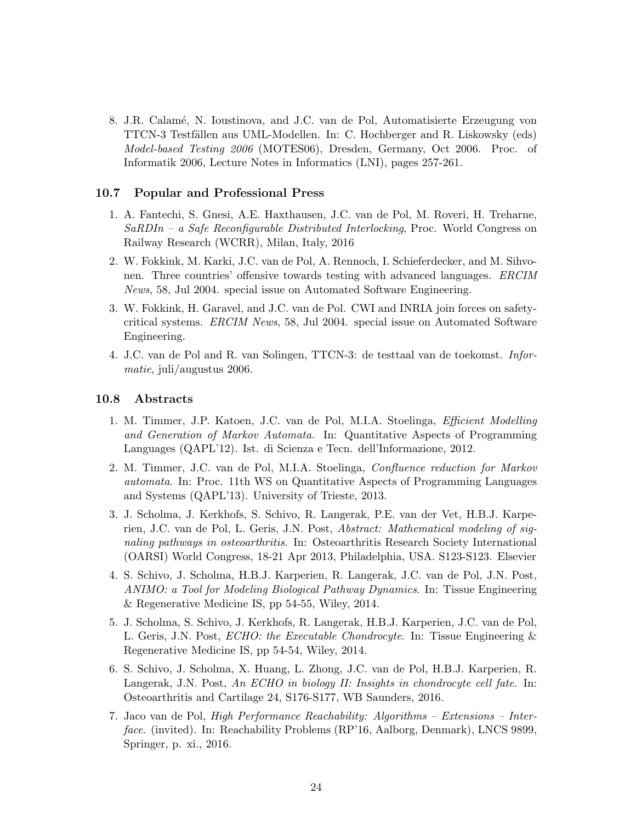8. J.R. Calam´e, N. Ioustinova, and J.C. van de Pol, Automatisierte Erzeugung von TTCN-3 Testfällen aus UML-Modellen. In: C. Hochberger and R. Liskowsky (eds) Model-based Testing 2006 (MOTES06), Dresden, Germany, Oct 2006. Proc. of Informatik 2006, Lecture Notes in Informatics (LNI), pages 257-261.

#### 10.7 Popular and Professional Press

- 1. A. Fantechi, S. Gnesi, A.E. Haxthausen, J.C. van de Pol, M. Roveri, H. Treharne,  $SaRDIn - a$  Safe Reconfigurable Distributed Interlocking, Proc. World Congress on Railway Research (WCRR), Milan, Italy, 2016
- 2. W. Fokkink, M. Karki, J.C. van de Pol, A. Rennoch, I. Schieferdecker, and M. Sihvonen. Three countries' offensive towards testing with advanced languages. ERCIM News, 58, Jul 2004. special issue on Automated Software Engineering.
- 3. W. Fokkink, H. Garavel, and J.C. van de Pol. CWI and INRIA join forces on safetycritical systems. ERCIM News, 58, Jul 2004. special issue on Automated Software Engineering.
- 4. J.C. van de Pol and R. van Solingen, TTCN-3: de testtaal van de toekomst. Informatie, juli/augustus 2006.

#### 10.8 Abstracts

- 1. M. Timmer, J.P. Katoen, J.C. van de Pol, M.I.A. Stoelinga, Efficient Modelling and Generation of Markov Automata. In: Quantitative Aspects of Programming Languages (QAPL'12). Ist. di Scienza e Tecn. dell'Informazione, 2012.
- 2. M. Timmer, J.C. van de Pol, M.I.A. Stoelinga, Confluence reduction for Markov automata. In: Proc. 11th WS on Quantitative Aspects of Programming Languages and Systems (QAPL'13). University of Trieste, 2013.
- 3. J. Scholma, J. Kerkhofs, S. Schivo, R. Langerak, P.E. van der Vet, H.B.J. Karperien, J.C. van de Pol, L. Geris, J.N. Post, Abstract: Mathematical modeling of signaling pathways in osteoarthritis. In: Osteoarthritis Research Society International (OARSI) World Congress, 18-21 Apr 2013, Philadelphia, USA. S123-S123. Elsevier
- 4. S. Schivo, J. Scholma, H.B.J. Karperien, R. Langerak, J.C. van de Pol, J.N. Post, ANIMO: a Tool for Modeling Biological Pathway Dynamics. In: Tissue Engineering & Regenerative Medicine IS, pp 54-55, Wiley, 2014.
- 5. J. Scholma, S. Schivo, J. Kerkhofs, R. Langerak, H.B.J. Karperien, J.C. van de Pol, L. Geris, J.N. Post, ECHO: the Executable Chondrocyte. In: Tissue Engineering & Regenerative Medicine IS, pp 54-54, Wiley, 2014.
- 6. S. Schivo, J. Scholma, X. Huang, L. Zhong, J.C. van de Pol, H.B.J. Karperien, R. Langerak, J.N. Post, An ECHO in biology II: Insights in chondrocyte cell fate. In: Osteoarthritis and Cartilage 24, S176-S177, WB Saunders, 2016.
- 7. Jaco van de Pol, High Performance Reachability: Algorithms Extensions Interface. (invited). In: Reachability Problems (RP'16, Aalborg, Denmark), LNCS 9899, Springer, p. xi., 2016.